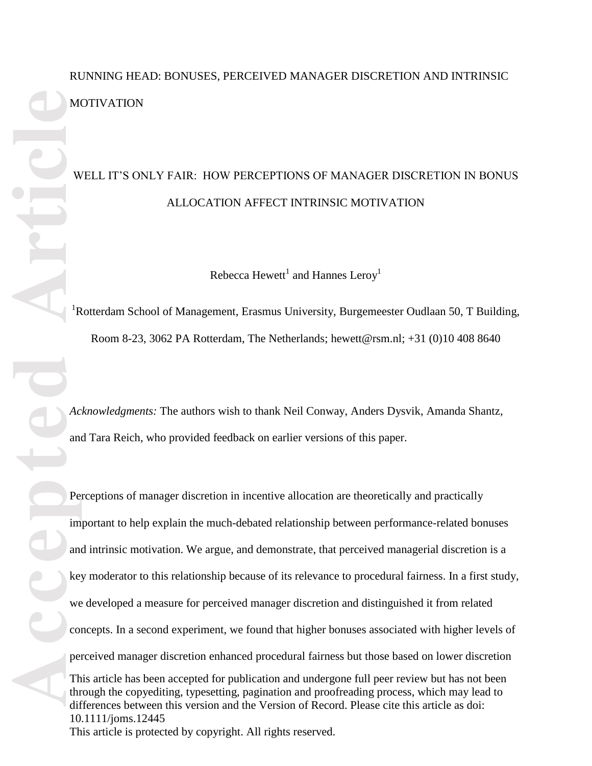# RUNNING HEAD: BONUSES, PERCEIVED MANAGER DISCRETION AND INTRINSIC **MOTIVATION**

# WELL IT'S ONLY FAIR: HOW PERCEPTIONS OF MANAGER DISCRETION IN BONUS ALLOCATION AFFECT INTRINSIC MOTIVATION

Rebecca Hewett $^1$  and Hannes Leroy $^1$ 

<sup>1</sup>Rotterdam School of Management, Erasmus University, Burgemeester Oudlaan 50, T Building, Room 8-23, 3062 PA Rotterdam, The Netherlands; hewett@rsm.nl; +31 (0)10 408 8640

*Acknowledgments:* The authors wish to thank Neil Conway, Anders Dysvik, Amanda Shantz, and Tara Reich, who provided feedback on earlier versions of this paper.

This article has been accepted for publication and undergone full peer review but has not been through the copyediting, typesetting, pagination and proofreading process, which may lead to differences between this version and the Version of Record. Please cite this article as doi: 10.1111/joms.12445 This article is protected by copyright. All rights reserved. Perceptions of manager discretion in incentive allocation are theoretically and practically important to help explain the much-debated relationship between performance-related bonuses and intrinsic motivation. We argue, and demonstrate, that perceived managerial discretion is a key moderator to this relationship because of its relevance to procedural fairness. In a first study, we developed a measure for perceived manager discretion and distinguished it from related concepts. In a second experiment, we found that higher bonuses associated with higher levels of perceived manager discretion enhanced procedural fairness but those based on lower discretion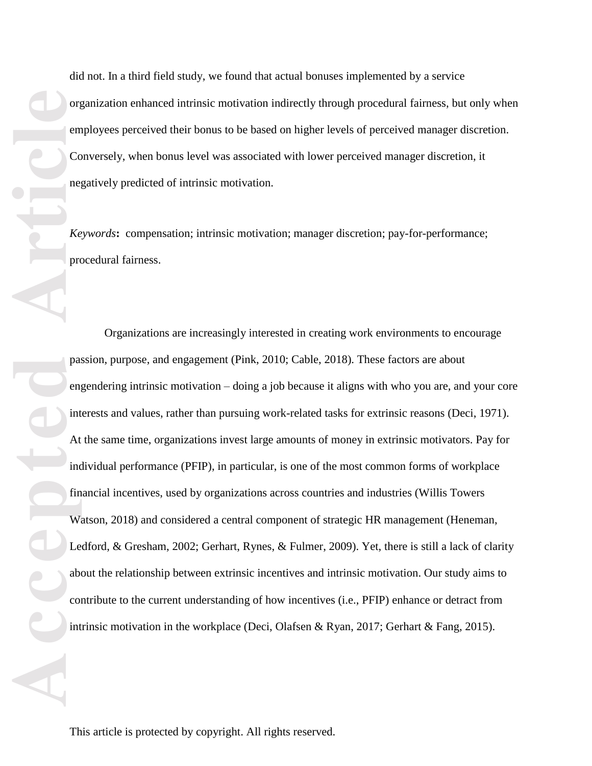did not. In a third field study, we found that actual bonuses implemented by a service organization enhanced intrinsic motivation indirectly through procedural fairness, but only when employees perceived their bonus to be based on higher levels of perceived manager discretion. Conversely, when bonus level was associated with lower perceived manager discretion, it negatively predicted of intrinsic motivation.

*Keywords***:** compensation; intrinsic motivation; manager discretion; pay-for-performance; procedural fairness.

Organizations are increasingly interested in creating work environments to encourage passion, purpose, and engagement (Pink, 2010; Cable, 2018). These factors are about engendering intrinsic motivation – doing a job because it aligns with who you are, and your core interests and values, rather than pursuing work-related tasks for extrinsic reasons (Deci, 1971). At the same time, organizations invest large amounts of money in extrinsic motivators. Pay for individual performance (PFIP), in particular, is one of the most common forms of workplace financial incentives, used by organizations across countries and industries (Willis Towers Watson, 2018) and considered a central component of strategic HR management (Heneman, Ledford, & Gresham, 2002; Gerhart, Rynes, & Fulmer, 2009). Yet, there is still a lack of clarity about the relationship between extrinsic incentives and intrinsic motivation. Our study aims to contribute to the current understanding of how incentives (i.e., PFIP) enhance or detract from intrinsic motivation in the workplace (Deci, Olafsen & Ryan, 2017; Gerhart & Fang, 2015).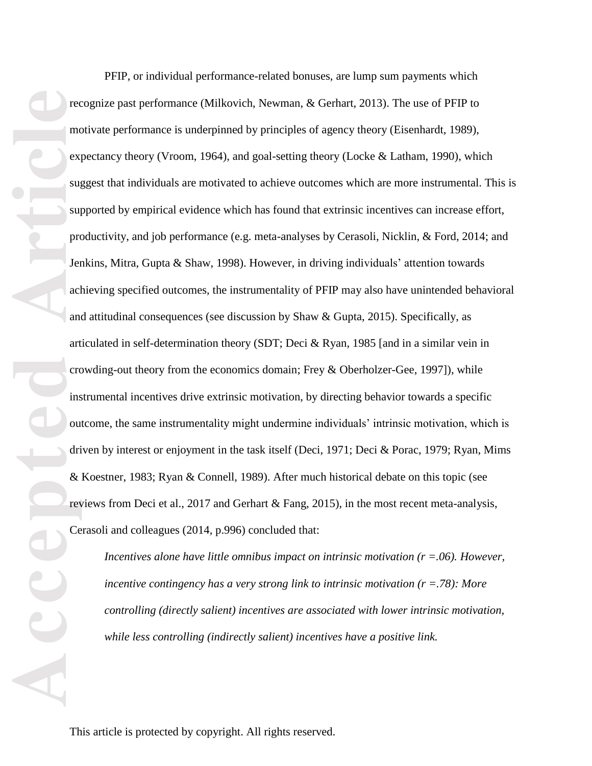**Accepted Article**<br> **Accepted Article**<br> **Accepted Article**<br> **Article**<br> **Article**<br> **Article**<br> **Article**<br> **Article**<br> **Ce** 

PFIP, or individual performance-related bonuses, are lump sum payments which recognize past performance (Milkovich, Newman, & Gerhart, 2013). The use of PFIP to motivate performance is underpinned by principles of agency theory (Eisenhardt, 1989), expectancy theory (Vroom, 1964), and goal-setting theory (Locke & Latham, 1990), which suggest that individuals are motivated to achieve outcomes which are more instrumental. This is supported by empirical evidence which has found that extrinsic incentives can increase effort, productivity, and job performance (e.g. meta-analyses by Cerasoli, Nicklin, & Ford, 2014; and Jenkins, Mitra, Gupta & Shaw, 1998). However, in driving individuals' attention towards achieving specified outcomes, the instrumentality of PFIP may also have unintended behavioral and attitudinal consequences (see discussion by Shaw & Gupta, 2015). Specifically, as articulated in self-determination theory (SDT; Deci & Ryan, 1985 [and in a similar vein in crowding-out theory from the economics domain; Frey & Oberholzer-Gee, 1997]), while instrumental incentives drive extrinsic motivation, by directing behavior towards a specific outcome, the same instrumentality might undermine individuals' intrinsic motivation, which is driven by interest or enjoyment in the task itself (Deci, 1971; Deci & Porac, 1979; Ryan, Mims & Koestner, 1983; Ryan & Connell, 1989). After much historical debate on this topic (see reviews from Deci et al., 2017 and Gerhart & Fang, 2015), in the most recent meta-analysis, Cerasoli and colleagues (2014, p.996) concluded that:

*Incentives alone have little omnibus impact on intrinsic motivation (r =.06). However, incentive contingency has a very strong link to intrinsic motivation (r =.78): More controlling (directly salient) incentives are associated with lower intrinsic motivation, while less controlling (indirectly salient) incentives have a positive link.*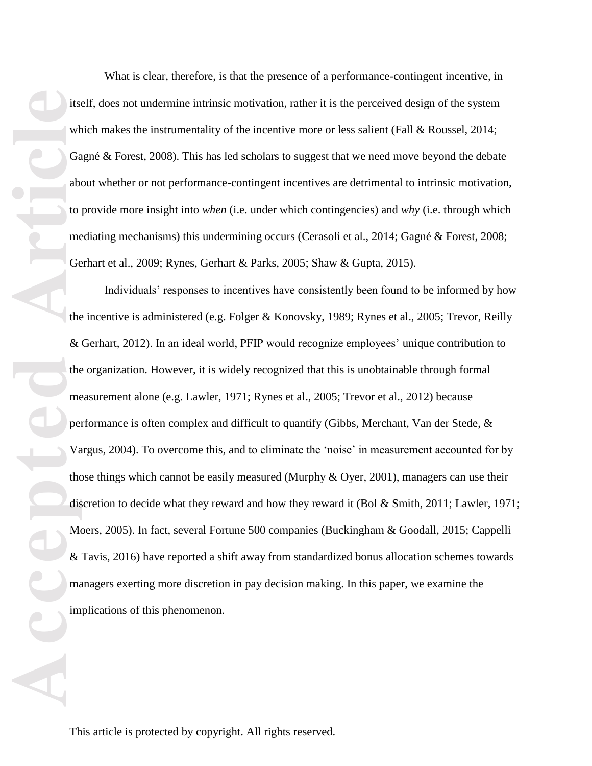its which the Galabito of Galabito interaction of Galabito interaction of Galabito interaction of Galabito interaction of Galabito interaction of Galabito interaction of Galabito interaction of Galabito interaction of Gala

What is clear, therefore, is that the presence of a performance-contingent incentive, in itself, does not undermine intrinsic motivation, rather it is the perceived design of the system which makes the instrumentality of the incentive more or less salient (Fall & Roussel, 2014; Gagné & Forest, 2008). This has led scholars to suggest that we need move beyond the debate about whether or not performance-contingent incentives are detrimental to intrinsic motivation, to provide more insight into *when* (i.e. under which contingencies) and *why* (i.e. through which mediating mechanisms) this undermining occurs (Cerasoli et al., 2014; Gagné & Forest, 2008; Gerhart et al., 2009; Rynes, Gerhart & Parks, 2005; Shaw & Gupta, 2015).

Individuals' responses to incentives have consistently been found to be informed by how the incentive is administered (e.g. Folger & Konovsky, 1989; Rynes et al., 2005; Trevor, Reilly & Gerhart, 2012). In an ideal world, PFIP would recognize employees' unique contribution to the organization. However, it is widely recognized that this is unobtainable through formal measurement alone (e.g. Lawler, 1971; Rynes et al., 2005; Trevor et al., 2012) because performance is often complex and difficult to quantify (Gibbs, Merchant, Van der Stede, & Vargus, 2004). To overcome this, and to eliminate the 'noise' in measurement accounted for by those things which cannot be easily measured (Murphy & Oyer, 2001), managers can use their discretion to decide what they reward and how they reward it (Bol & Smith, 2011; Lawler, 1971; Moers, 2005). In fact, several Fortune 500 companies (Buckingham & Goodall, 2015; Cappelli & Tavis, 2016) have reported a shift away from standardized bonus allocation schemes towards managers exerting more discretion in pay decision making. In this paper, we examine the implications of this phenomenon.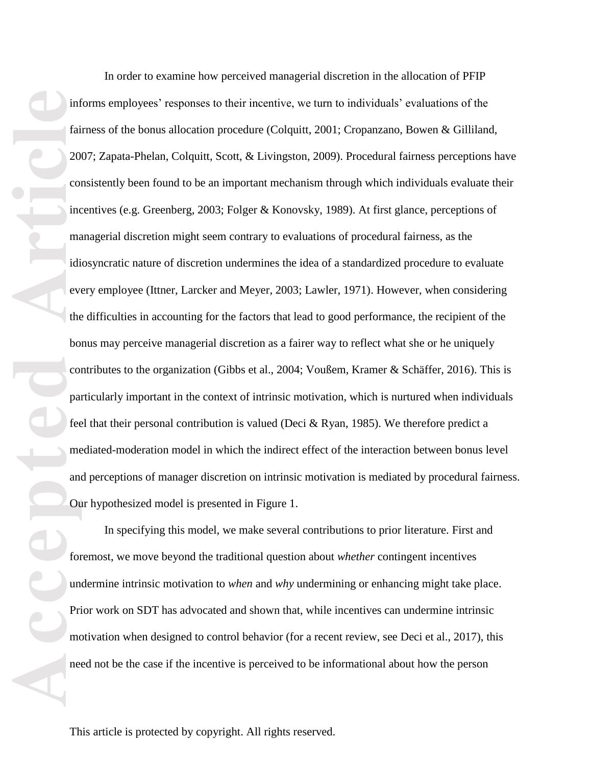inf<br>
fai<br>
fai<br>
20<br>
com<br>
inc<br>
mai<br>
idi eve<br>
the book<br>
com<br>
pai<br>
fee<br>
me<br>
an<br>
Ou<br>
for<br>
Im<br>
Pri mc<br>
ne<br>
Pri mai<br>
Pri mai<br>
Pri mai<br>
Pri mai<br>
Pri mai<br>
Pri mai<br>
Pri mai<br>
Pri mai<br>
Pri mai<br>
Pri mai<br>
Pri mai<br>
Pri mai<br>
Pri mai<br>
Pri In order to examine how perceived managerial discretion in the allocation of PFIP

informs employees' responses to their incentive, we turn to individuals' evaluations of the fairness of the bonus allocation procedure (Colquitt, 2001; Cropanzano, Bowen & Gilliland, 2007; Zapata-Phelan, Colquitt, Scott, & Livingston, 2009). Procedural fairness perceptions have consistently been found to be an important mechanism through which individuals evaluate their incentives (e.g. Greenberg, 2003; Folger & Konovsky, 1989). At first glance, perceptions of managerial discretion might seem contrary to evaluations of procedural fairness, as the idiosyncratic nature of discretion undermines the idea of a standardized procedure to evaluate every employee (Ittner, Larcker and Meyer, 2003; Lawler, 1971). However, when considering the difficulties in accounting for the factors that lead to good performance, the recipient of the bonus may perceive managerial discretion as a fairer way to reflect what she or he uniquely contributes to the organization (Gibbs et al., 2004; Voußem, Kramer & Schäffer, 2016). This is particularly important in the context of intrinsic motivation, which is nurtured when individuals feel that their personal contribution is valued (Deci & Ryan, 1985). We therefore predict a mediated-moderation model in which the indirect effect of the interaction between bonus level and perceptions of manager discretion on intrinsic motivation is mediated by procedural fairness. Our hypothesized model is presented in Figure 1.

In specifying this model, we make several contributions to prior literature. First and foremost, we move beyond the traditional question about *whether* contingent incentives undermine intrinsic motivation to *when* and *why* undermining or enhancing might take place. Prior work on SDT has advocated and shown that, while incentives can undermine intrinsic motivation when designed to control behavior (for a recent review, see Deci et al., 2017), this need not be the case if the incentive is perceived to be informational about how the person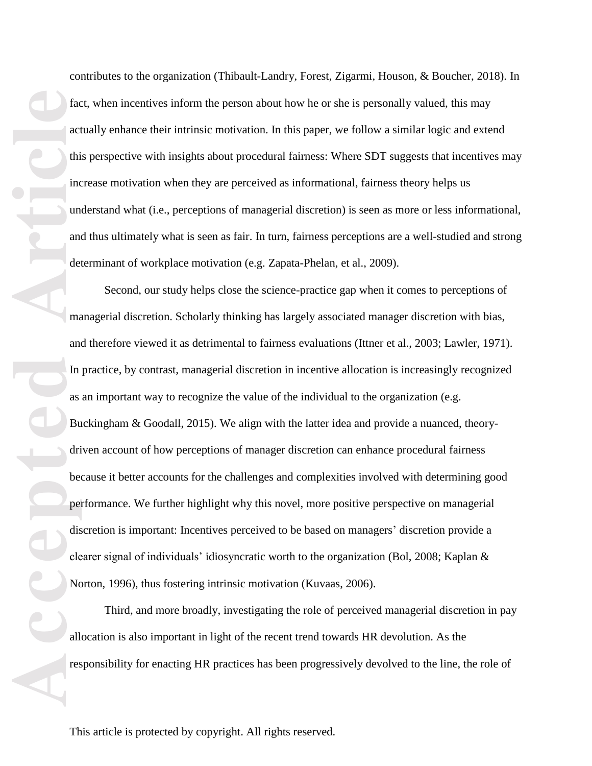contributes to the organization (Thibault-Landry, Forest, Zigarmi, Houson, & Boucher, 2018). In fact, when incentives inform the person about how he or she is personally valued, this may actually enhance their intrinsic motivation. In this paper, we follow a similar logic and extend this perspective with insights about procedural fairness: Where SDT suggests that incentives may increase motivation when they are perceived as informational, fairness theory helps us understand what (i.e., perceptions of managerial discretion) is seen as more or less informational, and thus ultimately what is seen as fair. In turn, fairness perceptions are a well-studied and strong determinant of workplace motivation (e.g. Zapata-Phelan, et al., 2009).

Facceler and an and all perfect of the perfect of the perfect of the perfect of the perfect of the perfect of the perfect of the perfect of the perfect of the perfect of the perfect of the perfect of the perfect of the per Second, our study helps close the science-practice gap when it comes to perceptions of managerial discretion. Scholarly thinking has largely associated manager discretion with bias, and therefore viewed it as detrimental to fairness evaluations (Ittner et al., 2003; Lawler, 1971). In practice, by contrast, managerial discretion in incentive allocation is increasingly recognized as an important way to recognize the value of the individual to the organization (e.g. Buckingham & Goodall, 2015). We align with the latter idea and provide a nuanced, theorydriven account of how perceptions of manager discretion can enhance procedural fairness because it better accounts for the challenges and complexities involved with determining good performance. We further highlight why this novel, more positive perspective on managerial discretion is important: Incentives perceived to be based on managers' discretion provide a clearer signal of individuals' idiosyncratic worth to the organization (Bol, 2008; Kaplan & Norton, 1996), thus fostering intrinsic motivation (Kuvaas, 2006).

Third, and more broadly, investigating the role of perceived managerial discretion in pay allocation is also important in light of the recent trend towards HR devolution. As the responsibility for enacting HR practices has been progressively devolved to the line, the role of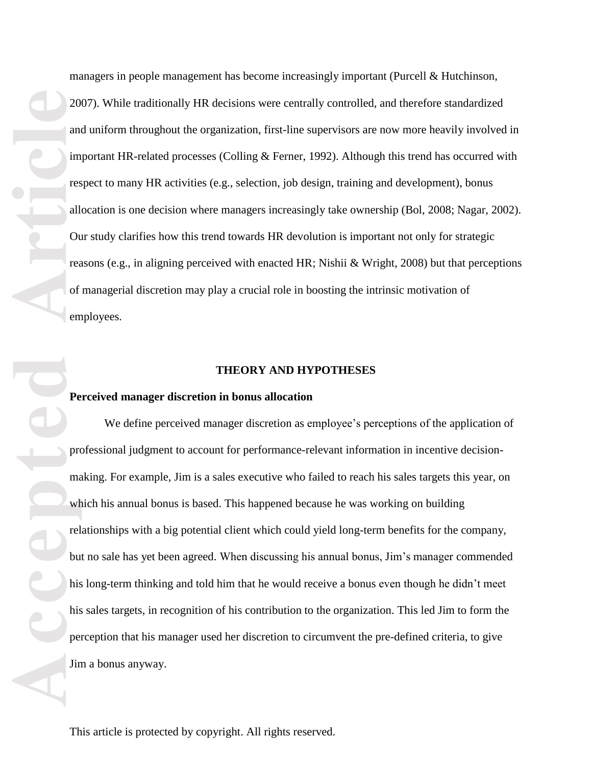managers in people management has become increasingly important (Purcell & Hutchinson, 2007). While traditionally HR decisions were centrally controlled, and therefore standardized and uniform throughout the organization, first-line supervisors are now more heavily involved in important HR-related processes (Colling & Ferner, 1992). Although this trend has occurred with respect to many HR activities (e.g., selection, job design, training and development), bonus allocation is one decision where managers increasingly take ownership (Bol, 2008; Nagar, 2002). Our study clarifies how this trend towards HR devolution is important not only for strategic reasons (e.g., in aligning perceived with enacted HR; Nishii  $\&$  Wright, 2008) but that perceptions of managerial discretion may play a crucial role in boosting the intrinsic motivation of employees.

# **THEORY AND HYPOTHESES**

## **Perceived manager discretion in bonus allocation**

accepted **Articles Article**<br> **Accepted Articles Inc.**<br> **Article**<br> **Article**<br> **Article**<br> **Article Pre**<br> **Pre**<br> **Pre**<br> **Pre**<br> **Pre**<br> **Pre**<br> **Pre**<br> **Pre**<br> **Pre**<br> **Pre**<br> **Pre**<br> **Pre**<br> **Dre**<br> **Pre** We define perceived manager discretion as employee's perceptions of the application of professional judgment to account for performance-relevant information in incentive decisionmaking. For example, Jim is a sales executive who failed to reach his sales targets this year, on which his annual bonus is based. This happened because he was working on building relationships with a big potential client which could yield long-term benefits for the company, but no sale has yet been agreed. When discussing his annual bonus, Jim's manager commended his long-term thinking and told him that he would receive a bonus even though he didn't meet his sales targets, in recognition of his contribution to the organization. This led Jim to form the perception that his manager used her discretion to circumvent the pre-defined criteria, to give Jim a bonus anyway.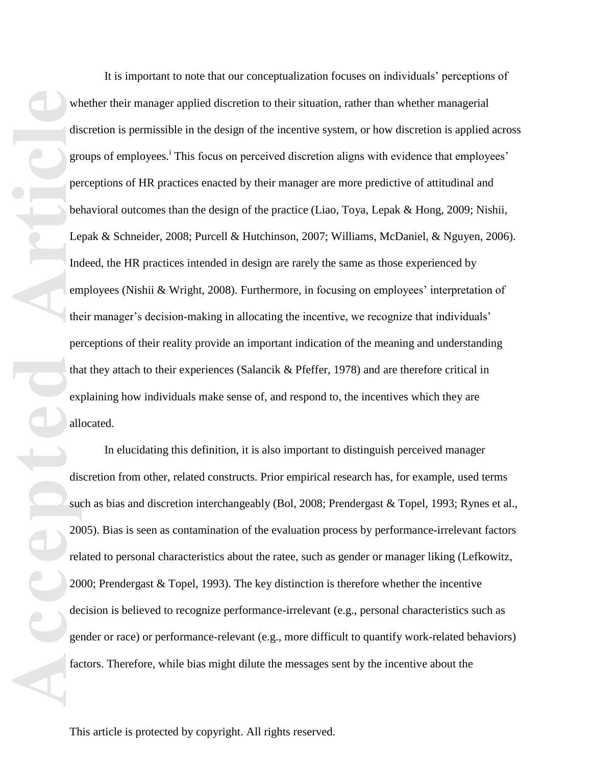wh<br>dis<br>group<br>ped<br>bed<br>ped<br>bed<br>le<br>m<br>the<br>per<br>tha exp<br>all<br>dis<br>sut<br>20<br>rel<br>20<br>rel<br>face<br>face<br>f allocated.

It is important to note that our conceptualization focuses on individuals' perceptions of whether their manager applied discretion to their situation, rather than whether managerial discretion is permissible in the design of the incentive system, or how discretion is applied across groups of employees.<sup>i</sup> This focus on perceived discretion aligns with evidence that employees' perceptions of HR practices enacted by their manager are more predictive of attitudinal and behavioral outcomes than the design of the practice (Liao, Toya, Lepak & Hong, 2009; Nishii, Lepak & Schneider, 2008; Purcell & Hutchinson, 2007; Williams, McDaniel, & Nguyen, 2006). Indeed, the HR practices intended in design are rarely the same as those experienced by employees (Nishii & Wright, 2008). Furthermore, in focusing on employees' interpretation of their manager's decision-making in allocating the incentive, we recognize that individuals' perceptions of their reality provide an important indication of the meaning and understanding that they attach to their experiences (Salancik & Pfeffer, 1978) and are therefore critical in explaining how individuals make sense of, and respond to, the incentives which they are

In elucidating this definition, it is also important to distinguish perceived manager discretion from other, related constructs. Prior empirical research has, for example, used terms such as bias and discretion interchangeably (Bol, 2008; Prendergast & Topel, 1993; Rynes et al., 2005). Bias is seen as contamination of the evaluation process by performance-irrelevant factors related to personal characteristics about the ratee, such as gender or manager liking (Lefkowitz, 2000; Prendergast & Topel, 1993). The key distinction is therefore whether the incentive decision is believed to recognize performance-irrelevant (e.g., personal characteristics such as gender or race) or performance-relevant (e.g., more difficult to quantify work-related behaviors) factors. Therefore, while bias might dilute the messages sent by the incentive about the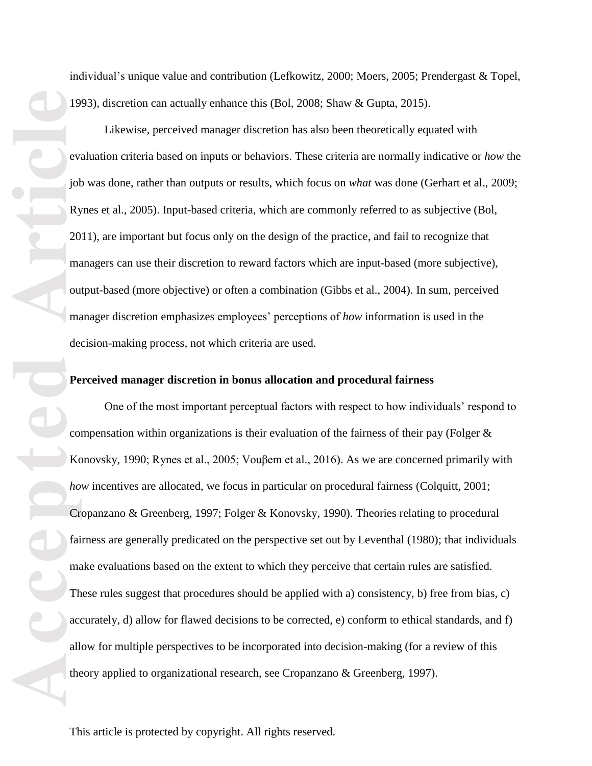**Accepted Articles Constrained Article**<br> **Article**<br> **Article Pe**<br> **Article**<br> **Article**<br> **Article Pe**<br> **Article Pe**<br> **Criticle**<br> **Article Pe**<br> **Article Pe**<br> **Article Pe**<br> **Article Pe**<br> **Article Pe**<br> **Article Pe**<br> **Artic** 

individual's unique value and contribution (Lefkowitz, 2000; Moers, 2005; Prendergast & Topel, 1993), discretion can actually enhance this (Bol, 2008; Shaw & Gupta, 2015).

Likewise, perceived manager discretion has also been theoretically equated with evaluation criteria based on inputs or behaviors. These criteria are normally indicative or *how* the job was done, rather than outputs or results, which focus on *what* was done (Gerhart et al., 2009; Rynes et al., 2005). Input-based criteria, which are commonly referred to as subjective (Bol, 2011), are important but focus only on the design of the practice, and fail to recognize that managers can use their discretion to reward factors which are input-based (more subjective), output-based (more objective) or often a combination (Gibbs et al., 2004). In sum, perceived manager discretion emphasizes employees' perceptions of *how* information is used in the decision-making process, not which criteria are used.

# **Perceived manager discretion in bonus allocation and procedural fairness**

One of the most important perceptual factors with respect to how individuals' respond to compensation within organizations is their evaluation of the fairness of their pay (Folger  $\&$ Konovsky, 1990; Rynes et al., 2005; Vouβem et al., 2016). As we are concerned primarily with *how* incentives are allocated, we focus in particular on procedural fairness (Colquitt, 2001; Cropanzano & Greenberg, 1997; Folger & Konovsky, 1990). Theories relating to procedural fairness are generally predicated on the perspective set out by Leventhal (1980); that individuals make evaluations based on the extent to which they perceive that certain rules are satisfied. These rules suggest that procedures should be applied with a) consistency, b) free from bias, c) accurately, d) allow for flawed decisions to be corrected, e) conform to ethical standards, and f) allow for multiple perspectives to be incorporated into decision-making (for a review of this theory applied to organizational research, see Cropanzano & Greenberg, 1997).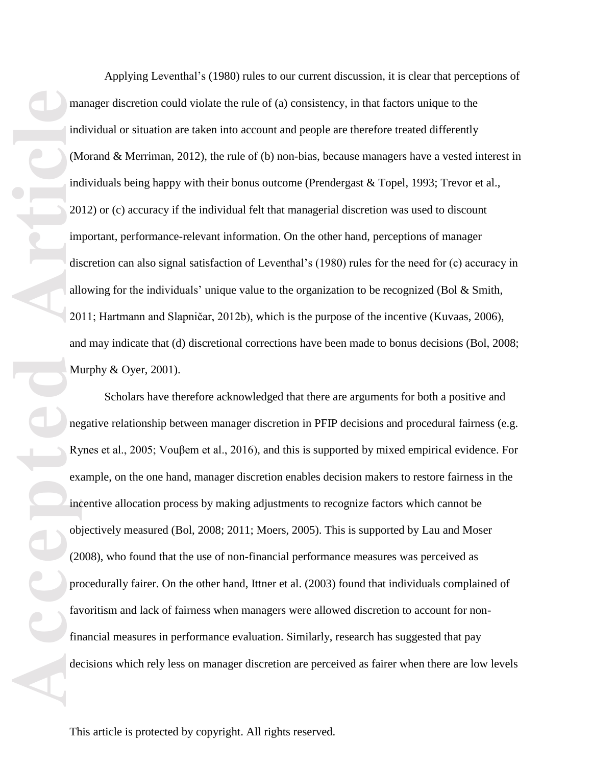**Accepted Articles 1988**<br> **Article**<br> **Article**<br> **Article**<br> **Article**<br> **Article**<br> **Article**<br> **Article**<br> **Article**<br> **Article**<br> **Article**<br> **Article**<br> **Article**<br> **Article**<br> **Article**<br> **Article**<br> **Article**<br> **Article**<br> **Articl** Applying Leventhal's (1980) rules to our current discussion, it is clear that perceptions of manager discretion could violate the rule of (a) consistency, in that factors unique to the individual or situation are taken into account and people are therefore treated differently (Morand & Merriman, 2012), the rule of (b) non-bias, because managers have a vested interest in Murphy & Oyer, 2001).

individuals being happy with their bonus outcome (Prendergast & Topel, 1993; Trevor et al., 2012) or (c) accuracy if the individual felt that managerial discretion was used to discount important, performance-relevant information. On the other hand, perceptions of manager discretion can also signal satisfaction of Leventhal's (1980) rules for the need for (c) accuracy in allowing for the individuals' unique value to the organization to be recognized (Bol & Smith, 2011; Hartmann and Slapničar, 2012b), which is the purpose of the incentive (Kuvaas, 2006), and may indicate that (d) discretional corrections have been made to bonus decisions (Bol, 2008;

Scholars have therefore acknowledged that there are arguments for both a positive and negative relationship between manager discretion in PFIP decisions and procedural fairness (e.g. Rynes et al., 2005; Vouβem et al., 2016), and this is supported by mixed empirical evidence. For example, on the one hand, manager discretion enables decision makers to restore fairness in the incentive allocation process by making adjustments to recognize factors which cannot be objectively measured (Bol, 2008; 2011; Moers, 2005). This is supported by Lau and Moser (2008), who found that the use of non-financial performance measures was perceived as procedurally fairer. On the other hand, Ittner et al. (2003) found that individuals complained of favoritism and lack of fairness when managers were allowed discretion to account for nonfinancial measures in performance evaluation. Similarly, research has suggested that pay decisions which rely less on manager discretion are perceived as fairer when there are low levels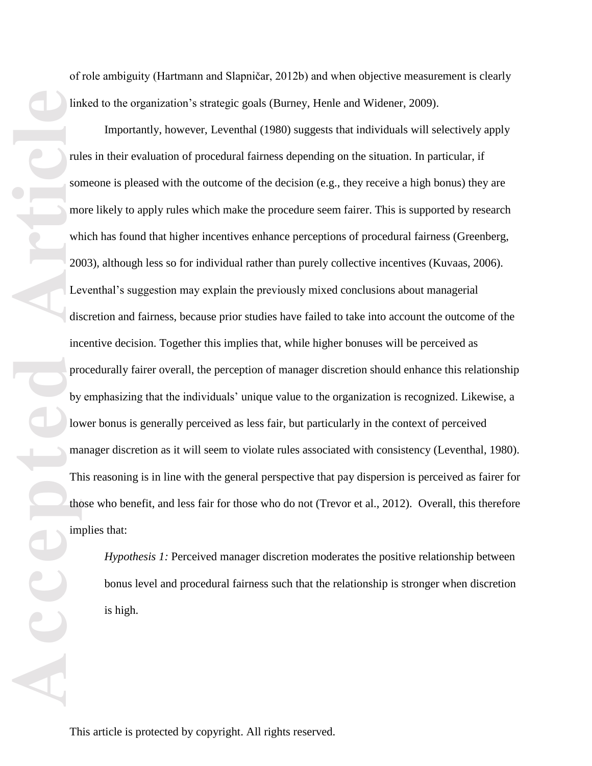of role ambiguity (Hartmann and Slapničar, 2012b) and when objective measurement is clearly linked to the organization's strategic goals (Burney, Henle and Widener, 2009).

**Accepted Article**<br> **Article**<br> **Article**<br> **Article**<br> **Article**<br> **Article**<br> **Article**<br> **Article**<br> **Article**<br> **Article**<br> **Article**<br> **Article**<br> **Article**<br> **Article**<br> **Article**<br> **Article**<br> **Article**<br> **Article**<br> **Article** Importantly, however, Leventhal (1980) suggests that individuals will selectively apply rules in their evaluation of procedural fairness depending on the situation. In particular, if someone is pleased with the outcome of the decision (e.g., they receive a high bonus) they are more likely to apply rules which make the procedure seem fairer. This is supported by research which has found that higher incentives enhance perceptions of procedural fairness (Greenberg, 2003), although less so for individual rather than purely collective incentives (Kuvaas, 2006). Leventhal's suggestion may explain the previously mixed conclusions about managerial discretion and fairness, because prior studies have failed to take into account the outcome of the incentive decision. Together this implies that, while higher bonuses will be perceived as procedurally fairer overall, the perception of manager discretion should enhance this relationship by emphasizing that the individuals' unique value to the organization is recognized. Likewise, a lower bonus is generally perceived as less fair, but particularly in the context of perceived manager discretion as it will seem to violate rules associated with consistency (Leventhal, 1980). This reasoning is in line with the general perspective that pay dispersion is perceived as fairer for those who benefit, and less fair for those who do not (Trevor et al., 2012). Overall, this therefore implies that:

*Hypothesis 1:* Perceived manager discretion moderates the positive relationship between bonus level and procedural fairness such that the relationship is stronger when discretion is high.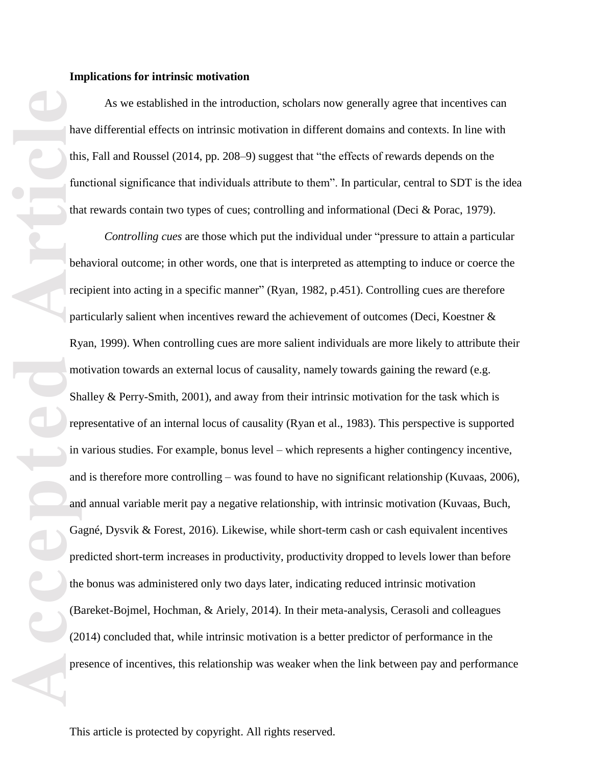As we established in the introduction, scholars now generally agree that incentives can have differential effects on intrinsic motivation in different domains and contexts. In line with this, Fall and Roussel (2014, pp. 208–9) suggest that "the effects of rewards depends on the functional significance that individuals attribute to them". In particular, central to SDT is the idea that rewards contain two types of cues; controlling and informational (Deci & Porac, 1979).

**Accepted**<br> **Accepted**<br> **Accepted**<br> **Accepted**<br> **Article**<br> **Article**<br> **Article**<br> **Article**<br> **Article**<br> **Article**<br> **Article**<br> **Article**<br> **Article**<br> **Article**<br> **Article**<br> **Article**<br> **Article**<br> **Article**<br> **Article**<br> **Article** *Controlling cues* are those which put the individual under "pressure to attain a particular behavioral outcome; in other words, one that is interpreted as attempting to induce or coerce the recipient into acting in a specific manner" (Ryan, 1982, p.451). Controlling cues are therefore particularly salient when incentives reward the achievement of outcomes (Deci, Koestner & Ryan, 1999). When controlling cues are more salient individuals are more likely to attribute their motivation towards an external locus of causality, namely towards gaining the reward (e.g. Shalley & Perry-Smith, 2001), and away from their intrinsic motivation for the task which is representative of an internal locus of causality (Ryan et al., 1983). This perspective is supported in various studies. For example, bonus level – which represents a higher contingency incentive, and is therefore more controlling – was found to have no significant relationship (Kuvaas, 2006), and annual variable merit pay a negative relationship, with intrinsic motivation (Kuvaas, Buch, Gagné, Dysvik & Forest, 2016). Likewise, while short-term cash or cash equivalent incentives predicted short-term increases in productivity, productivity dropped to levels lower than before the bonus was administered only two days later, indicating reduced intrinsic motivation (Bareket-Bojmel, Hochman, & Ariely, 2014). In their meta-analysis, Cerasoli and colleagues (2014) concluded that, while intrinsic motivation is a better predictor of performance in the presence of incentives, this relationship was weaker when the link between pay and performance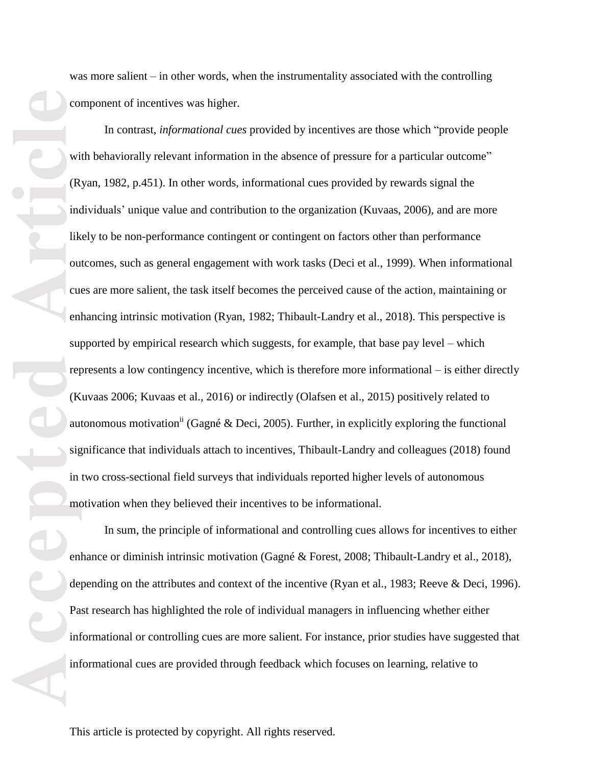**Example 19**<br> **Accepted Articles II**<br> **Accepted Articles II**<br> **Accepted Articles II**<br> **Article**<br> **Article**<br> **Article**<br> **Article**<br> **Article**<br> **Article**<br> **Article**<br> **Article**<br> **Article**<br> **Article**<br> **Article**<br> **Article** 

was more salient – in other words, when the instrumentality associated with the controlling component of incentives was higher.

In contrast, *informational cues* provided by incentives are those which "provide people with behaviorally relevant information in the absence of pressure for a particular outcome" (Ryan, 1982, p.451). In other words, informational cues provided by rewards signal the individuals' unique value and contribution to the organization (Kuvaas, 2006), and are more likely to be non-performance contingent or contingent on factors other than performance outcomes, such as general engagement with work tasks (Deci et al., 1999). When informational cues are more salient, the task itself becomes the perceived cause of the action, maintaining or enhancing intrinsic motivation (Ryan, 1982; Thibault-Landry et al., 2018). This perspective is supported by empirical research which suggests, for example, that base pay level – which represents a low contingency incentive, which is therefore more informational – is either directly (Kuvaas 2006; Kuvaas et al., 2016) or indirectly (Olafsen et al., 2015) positively related to autonomous motivation<sup>ii</sup> (Gagné & Deci, 2005). Further, in explicitly exploring the functional significance that individuals attach to incentives, Thibault-Landry and colleagues (2018) found in two cross-sectional field surveys that individuals reported higher levels of autonomous motivation when they believed their incentives to be informational.

In sum, the principle of informational and controlling cues allows for incentives to either enhance or diminish intrinsic motivation (Gagné & Forest, 2008; Thibault-Landry et al., 2018), depending on the attributes and context of the incentive (Ryan et al., 1983; Reeve & Deci, 1996). Past research has highlighted the role of individual managers in influencing whether either informational or controlling cues are more salient. For instance, prior studies have suggested that informational cues are provided through feedback which focuses on learning, relative to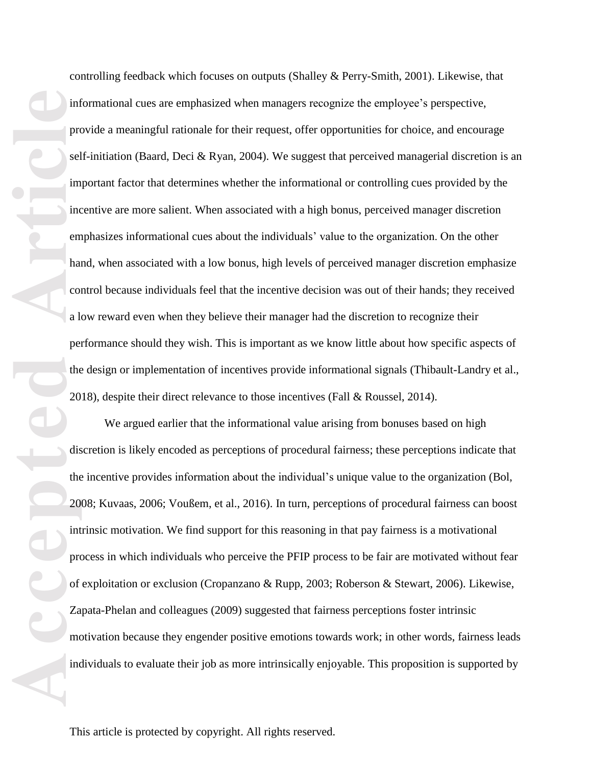inf<br>
produced by the<br>
article<br>
article<br>
article<br>
article<br>
article<br>
article<br>
article<br>
article<br>
article<br>
article<br>
article<br>
article<br>
article<br>
article<br>
article<br>
article<br>
article<br>
article<br>
article<br>
article<br>
article<br>
article<br>
ar

controlling feedback which focuses on outputs (Shalley & Perry-Smith, 2001). Likewise, that informational cues are emphasized when managers recognize the employee's perspective, provide a meaningful rationale for their request, offer opportunities for choice, and encourage self-initiation (Baard, Deci & Ryan, 2004). We suggest that perceived managerial discretion is an important factor that determines whether the informational or controlling cues provided by the incentive are more salient. When associated with a high bonus, perceived manager discretion emphasizes informational cues about the individuals' value to the organization. On the other hand, when associated with a low bonus, high levels of perceived manager discretion emphasize control because individuals feel that the incentive decision was out of their hands; they received a low reward even when they believe their manager had the discretion to recognize their performance should they wish. This is important as we know little about how specific aspects of the design or implementation of incentives provide informational signals (Thibault-Landry et al., 2018), despite their direct relevance to those incentives (Fall & Roussel, 2014).

We argued earlier that the informational value arising from bonuses based on high discretion is likely encoded as perceptions of procedural fairness; these perceptions indicate that the incentive provides information about the individual's unique value to the organization (Bol, 2008; Kuvaas, 2006; Voußem, et al., 2016). In turn, perceptions of procedural fairness can boost intrinsic motivation. We find support for this reasoning in that pay fairness is a motivational process in which individuals who perceive the PFIP process to be fair are motivated without fear of exploitation or exclusion (Cropanzano & Rupp, 2003; Roberson & Stewart, 2006). Likewise, Zapata-Phelan and colleagues (2009) suggested that fairness perceptions foster intrinsic motivation because they engender positive emotions towards work; in other words, fairness leads individuals to evaluate their job as more intrinsically enjoyable. This proposition is supported by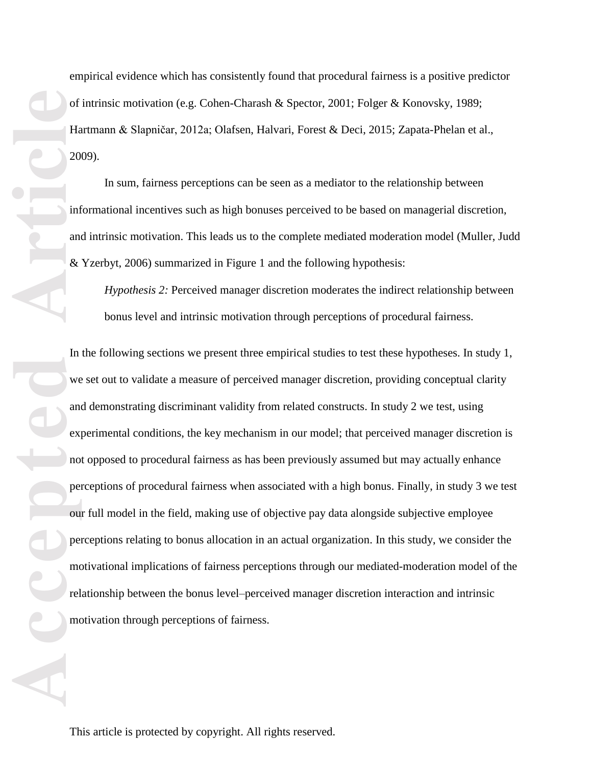empirical evidence which has consistently found that procedural fairness is a positive predictor of intrinsic motivation (e.g. Cohen-Charash & Spector, 2001; Folger & Konovsky, 1989; Hartmann & Slapničar, 2012a; Olafsen, Halvari, Forest & Deci, 2015; Zapata-Phelan et al., 2009).

In sum, fairness perceptions can be seen as a mediator to the relationship between informational incentives such as high bonuses perceived to be based on managerial discretion, and intrinsic motivation. This leads us to the complete mediated moderation model (Muller, Judd & Yzerbyt, 2006) summarized in Figure 1 and the following hypothesis:

*Hypothesis 2:* Perceived manager discretion moderates the indirect relationship between bonus level and intrinsic motivation through perceptions of procedural fairness.

In the following sections we present three empirical studies to test these hypotheses. In study 1, we set out to validate a measure of perceived manager discretion, providing conceptual clarity and demonstrating discriminant validity from related constructs. In study 2 we test, using experimental conditions, the key mechanism in our model; that perceived manager discretion is not opposed to procedural fairness as has been previously assumed but may actually enhance perceptions of procedural fairness when associated with a high bonus. Finally, in study 3 we test our full model in the field, making use of objective pay data alongside subjective employee perceptions relating to bonus allocation in an actual organization. In this study, we consider the motivational implications of fairness perceptions through our mediated-moderation model of the relationship between the bonus level–perceived manager discretion interaction and intrinsic motivation through perceptions of fairness.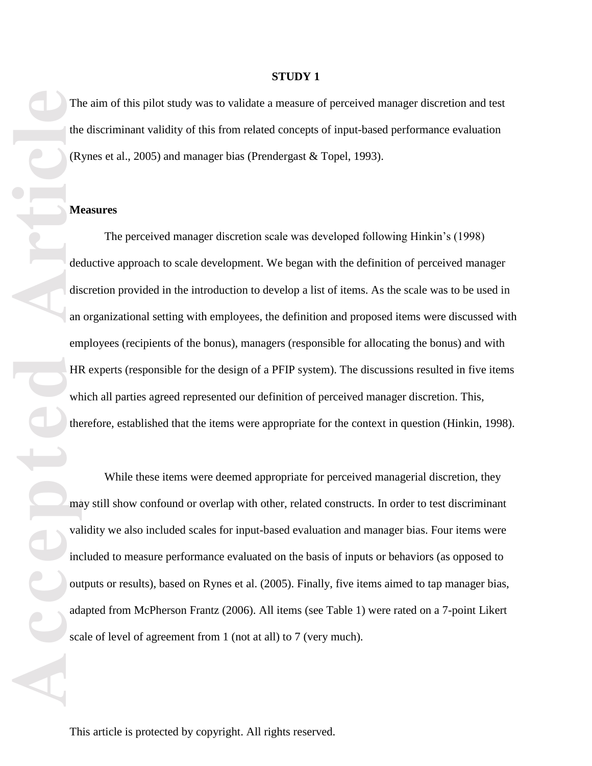## **STUDY 1**

The aim of this pilot study was to validate a measure of perceived manager discretion and test the discriminant validity of this from related concepts of input-based performance evaluation (Rynes et al., 2005) and manager bias (Prendergast & Topel, 1993).

## **Measures**

The the CR<br>
of CR<br>
of CR<br>
of declinis<br>
an em HIF<br>
which the whole the whole the whole the whole the whole the wall income values of the second the second the second the second the second the second the second term in the s The perceived manager discretion scale was developed following Hinkin's (1998) deductive approach to scale development. We began with the definition of perceived manager discretion provided in the introduction to develop a list of items. As the scale was to be used in an organizational setting with employees, the definition and proposed items were discussed with employees (recipients of the bonus), managers (responsible for allocating the bonus) and with HR experts (responsible for the design of a PFIP system). The discussions resulted in five items which all parties agreed represented our definition of perceived manager discretion. This, therefore, established that the items were appropriate for the context in question (Hinkin, 1998).

While these items were deemed appropriate for perceived managerial discretion, they may still show confound or overlap with other, related constructs. In order to test discriminant validity we also included scales for input-based evaluation and manager bias. Four items were included to measure performance evaluated on the basis of inputs or behaviors (as opposed to outputs or results), based on Rynes et al. (2005). Finally, five items aimed to tap manager bias, adapted from McPherson Frantz (2006). All items (see Table 1) were rated on a 7-point Likert scale of level of agreement from 1 (not at all) to 7 (very much).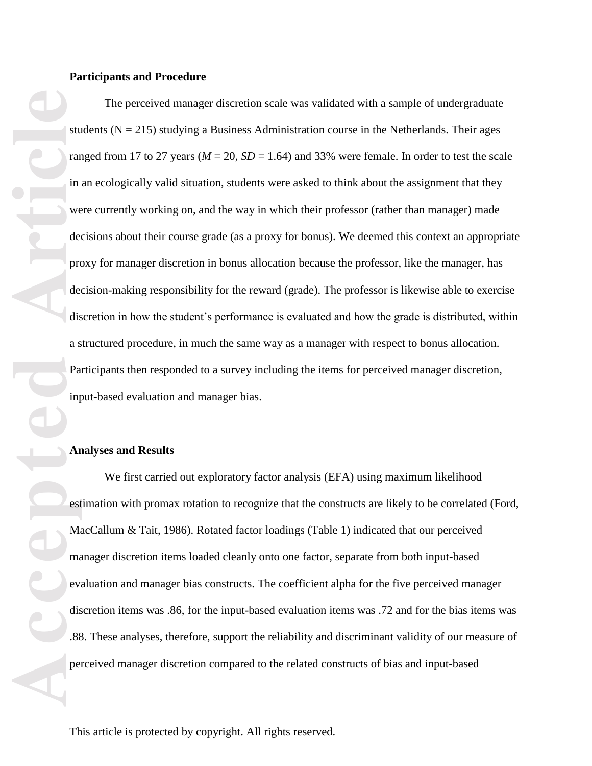#### **Participants and Procedure**

sture of the sture of the sture of the state of the state of the state of the state of the state of the state of the state of the state of the state of the state of the state of the state of the state of the state of the s The perceived manager discretion scale was validated with a sample of undergraduate students ( $N = 215$ ) studying a Business Administration course in the Netherlands. Their ages ranged from 17 to 27 years ( $M = 20$ ,  $SD = 1.64$ ) and 33% were female. In order to test the scale in an ecologically valid situation, students were asked to think about the assignment that they were currently working on, and the way in which their professor (rather than manager) made decisions about their course grade (as a proxy for bonus). We deemed this context an appropriate proxy for manager discretion in bonus allocation because the professor, like the manager, has decision-making responsibility for the reward (grade). The professor is likewise able to exercise discretion in how the student's performance is evaluated and how the grade is distributed, within a structured procedure, in much the same way as a manager with respect to bonus allocation. Participants then responded to a survey including the items for perceived manager discretion, input-based evaluation and manager bias.

#### **Analyses and Results**

We first carried out exploratory factor analysis (EFA) using maximum likelihood estimation with promax rotation to recognize that the constructs are likely to be correlated (Ford, MacCallum & Tait, 1986). Rotated factor loadings (Table 1) indicated that our perceived manager discretion items loaded cleanly onto one factor, separate from both input-based evaluation and manager bias constructs. The coefficient alpha for the five perceived manager discretion items was .86, for the input-based evaluation items was .72 and for the bias items was .88. These analyses, therefore, support the reliability and discriminant validity of our measure of perceived manager discretion compared to the related constructs of bias and input-based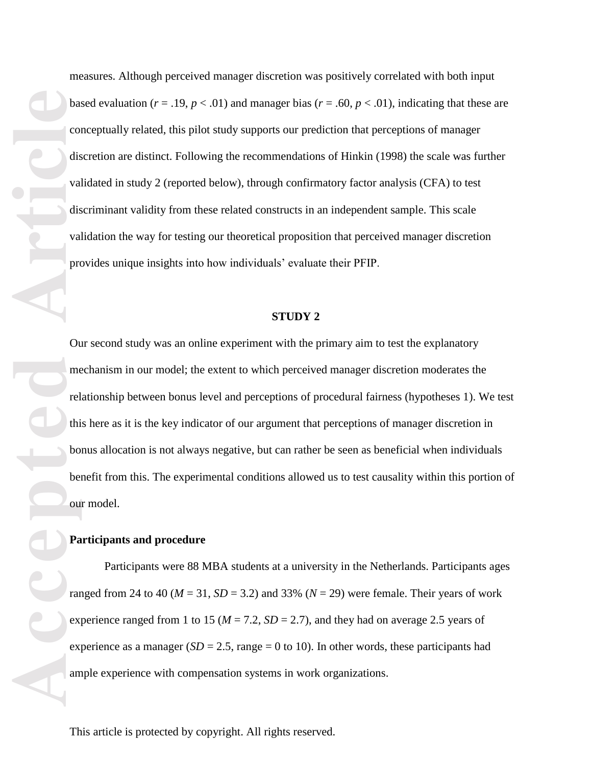measures. Although perceived manager discretion was positively correlated with both input based evaluation ( $r = .19$ ,  $p < .01$ ) and manager bias ( $r = .60$ ,  $p < .01$ ), indicating that these are conceptually related, this pilot study supports our prediction that perceptions of manager discretion are distinct. Following the recommendations of Hinkin (1998) the scale was further validated in study 2 (reported below), through confirmatory factor analysis (CFA) to test discriminant validity from these related constructs in an independent sample. This scale validation the way for testing our theoretical proposition that perceived manager discretion provides unique insights into how individuals' evaluate their PFIP.

#### **STUDY 2**

Our second study was an online experiment with the primary aim to test the explanatory mechanism in our model; the extent to which perceived manager discretion moderates the relationship between bonus level and perceptions of procedural fairness (hypotheses 1). We test this here as it is the key indicator of our argument that perceptions of manager discretion in bonus allocation is not always negative, but can rather be seen as beneficial when individuals benefit from this. The experimental conditions allowed us to test causality within this portion of our model.

#### **Participants and procedure**

Participants were 88 MBA students at a university in the Netherlands. Participants ages ranged from 24 to 40 ( $M = 31$ ,  $SD = 3.2$ ) and 33% ( $N = 29$ ) were female. Their years of work experience ranged from 1 to 15 ( $M = 7.2$ ,  $SD = 2.7$ ), and they had on average 2.5 years of experience as a manager ( $SD = 2.5$ , range = 0 to 10). In other words, these participants had ample experience with compensation systems in work organizations.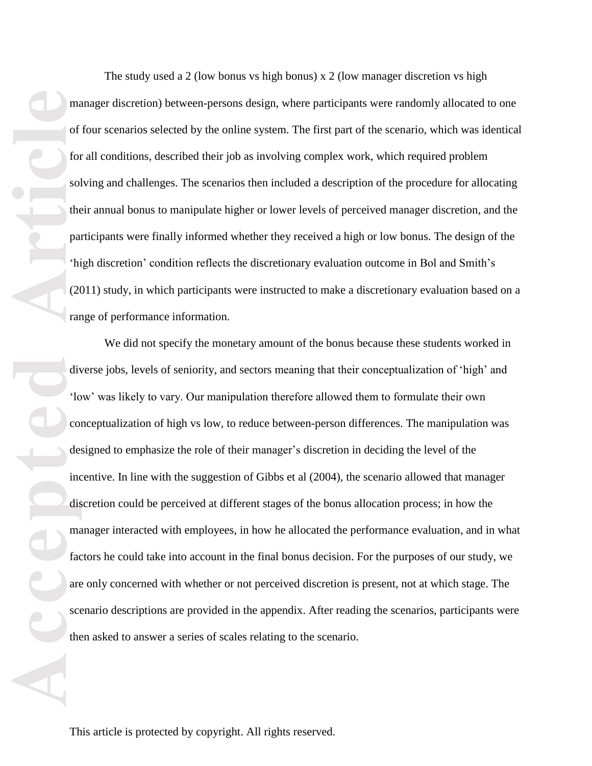The study used a 2 (low bonus vs high bonus) x 2 (low manager discretion vs high manager discretion) between-persons design, where participants were randomly allocated to one of four scenarios selected by the online system. The first part of the scenario, which was identical for all conditions, described their job as involving complex work, which required problem solving and challenges. The scenarios then included a description of the procedure for allocating their annual bonus to manipulate higher or lower levels of perceived manager discretion, and the participants were finally informed whether they received a high or low bonus. The design of the 'high discretion' condition reflects the discretionary evaluation outcome in Bol and Smith's (2011) study, in which participants were instructed to make a discretionary evaluation based on a range of performance information.

ma<br>
of<br>
of<br>
sol<br>
the<br>
pa<br>
<sup>Artic</sup> Rom<br>
<sup>Artic</sup> 20<br>
Tar<br>
dis<br>
<sup>Artic</sup> Com<br>
de:<br>
Article<br>
fac<br>
are<br>
sce<br>
the<br>
scenare<br>
face<br>
the scenare of the scenare of the scenare of the scenare of the scenare of the<br>
scenare of the scen We did not specify the monetary amount of the bonus because these students worked in diverse jobs, levels of seniority, and sectors meaning that their conceptualization of 'high' and 'low' was likely to vary. Our manipulation therefore allowed them to formulate their own conceptualization of high vs low, to reduce between-person differences. The manipulation was designed to emphasize the role of their manager's discretion in deciding the level of the incentive. In line with the suggestion of Gibbs et al (2004), the scenario allowed that manager discretion could be perceived at different stages of the bonus allocation process; in how the manager interacted with employees, in how he allocated the performance evaluation, and in what factors he could take into account in the final bonus decision. For the purposes of our study, we are only concerned with whether or not perceived discretion is present, not at which stage. The scenario descriptions are provided in the appendix. After reading the scenarios, participants were then asked to answer a series of scales relating to the scenario.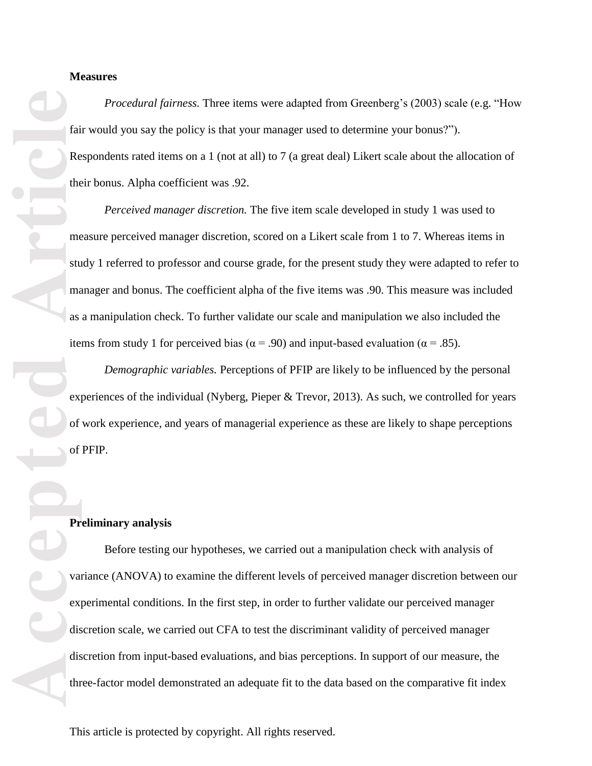#### **Measures**

*Procedural fairness.* Three items were adapted from Greenberg's (2003) scale (e.g. "How fair would you say the policy is that your manager used to determine your bonus?"). Respondents rated items on a 1 (not at all) to 7 (a great deal) Likert scale about the allocation of their bonus. Alpha coefficient was .92.

*Perceived manager discretion.* The five item scale developed in study 1 was used to measure perceived manager discretion, scored on a Likert scale from 1 to 7. Whereas items in study 1 referred to professor and course grade, for the present study they were adapted to refer to manager and bonus. The coefficient alpha of the five items was .90. This measure was included as a manipulation check. To further validate our scale and manipulation we also included the items from study 1 for perceived bias ( $α = .90$ ) and input-based evaluation ( $α = .85$ ).

*Demographic variables.* Perceptions of PFIP are likely to be influenced by the personal experiences of the individual (Nyberg, Pieper & Trevor, 2013). As such, we controlled for years of work experience, and years of managerial experience as these are likely to shape perceptions of PFIP.

## **Preliminary analysis**

Before testing our hypotheses, we carried out a manipulation check with analysis of variance (ANOVA) to examine the different levels of perceived manager discretion between our experimental conditions. In the first step, in order to further validate our perceived manager discretion scale, we carried out CFA to test the discriminant validity of perceived manager discretion from input-based evaluations, and bias perceptions. In support of our measure, the three-factor model demonstrated an adequate fit to the data based on the comparative fit index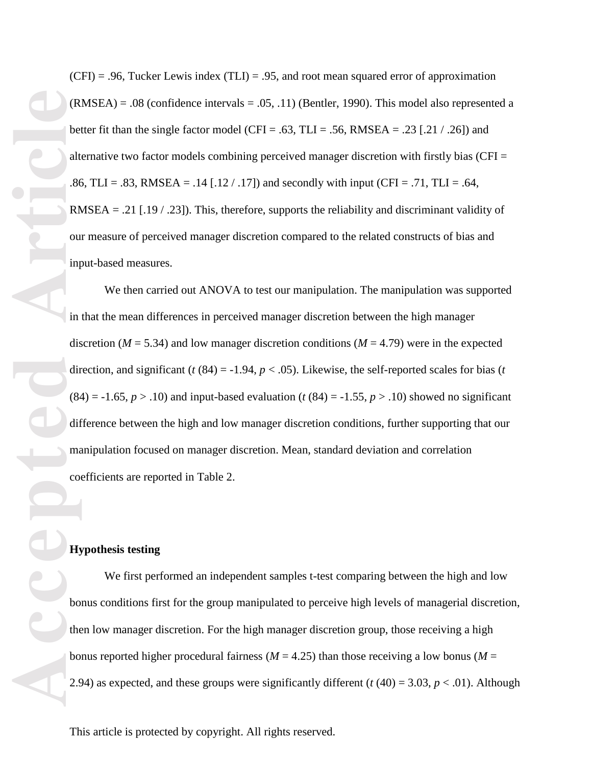$(CFI) = .96$ , Tucker Lewis index  $(TLI) = .95$ , and root mean squared error of approximation  $(RMSEA) = .08$  (confidence intervals = .05, .11) (Bentler, 1990). This model also represented a better fit than the single factor model (CFI = .63, TLI = .56, RMSEA = .23 [.21 / .26]) and alternative two factor models combining perceived manager discretion with firstly bias (CFI  $=$ .86, TLI = .83, RMSEA = .14 [.12 / .17]) and secondly with input (CFI = .71, TLI = .64, RMSEA = .21 [.19  $/$  .23]). This, therefore, supports the reliability and discriminant validity of our measure of perceived manager discretion compared to the related constructs of bias and input-based measures.

We then carried out ANOVA to test our manipulation. The manipulation was supported in that the mean differences in perceived manager discretion between the high manager discretion ( $M = 5.34$ ) and low manager discretion conditions ( $M = 4.79$ ) were in the expected direction, and significant  $(t (84) = -1.94, p < .05)$ . Likewise, the self-reported scales for bias  $(t$  $(84) = -1.65$ ,  $p > .10$ ) and input-based evaluation ( $t$  (84) =  $-1.55$ ,  $p > .10$ ) showed no significant difference between the high and low manager discretion conditions, further supporting that our manipulation focused on manager discretion. Mean, standard deviation and correlation coefficients are reported in Table 2.

# **Hypothesis testing**

We first performed an independent samples t-test comparing between the high and low bonus conditions first for the group manipulated to perceive high levels of managerial discretion, then low manager discretion. For the high manager discretion group, those receiving a high bonus reported higher procedural fairness ( $M = 4.25$ ) than those receiving a low bonus ( $M =$ 2.94) as expected, and these groups were significantly different ( $t$  (40) = 3.03,  $p$  < .01). Although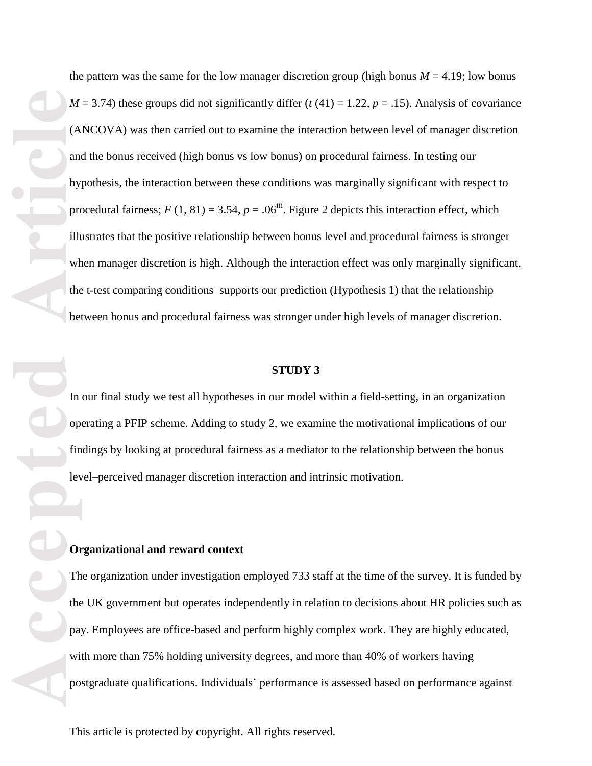the pattern was the same for the low manager discretion group (high bonus  $M = 4.19$ ; low bonus  $M = 3.74$ ) these groups did not significantly differ ( $t(41) = 1.22$ ,  $p = .15$ ). Analysis of covariance (ANCOVA) was then carried out to examine the interaction between level of manager discretion and the bonus received (high bonus vs low bonus) on procedural fairness. In testing our hypothesis, the interaction between these conditions was marginally significant with respect to procedural fairness;  $F(1, 81) = 3.54$ ,  $p = .06$ <sup>iii</sup>. Figure 2 depicts this interaction effect, which illustrates that the positive relationship between bonus level and procedural fairness is stronger when manager discretion is high. Although the interaction effect was only marginally significant, the t-test comparing conditions supports our prediction (Hypothesis 1) that the relationship between bonus and procedural fairness was stronger under high levels of manager discretion.

#### **STUDY 3**

In our final study we test all hypotheses in our model within a field-setting, in an organization operating a PFIP scheme. Adding to study 2, we examine the motivational implications of our findings by looking at procedural fairness as a mediator to the relationship between the bonus level–perceived manager discretion interaction and intrinsic motivation.

# **Organizational and reward context**

The organization under investigation employed 733 staff at the time of the survey. It is funded by the UK government but operates independently in relation to decisions about HR policies such as pay. Employees are office-based and perform highly complex work. They are highly educated, with more than 75% holding university degrees, and more than 40% of workers having postgraduate qualifications. Individuals' performance is assessed based on performance against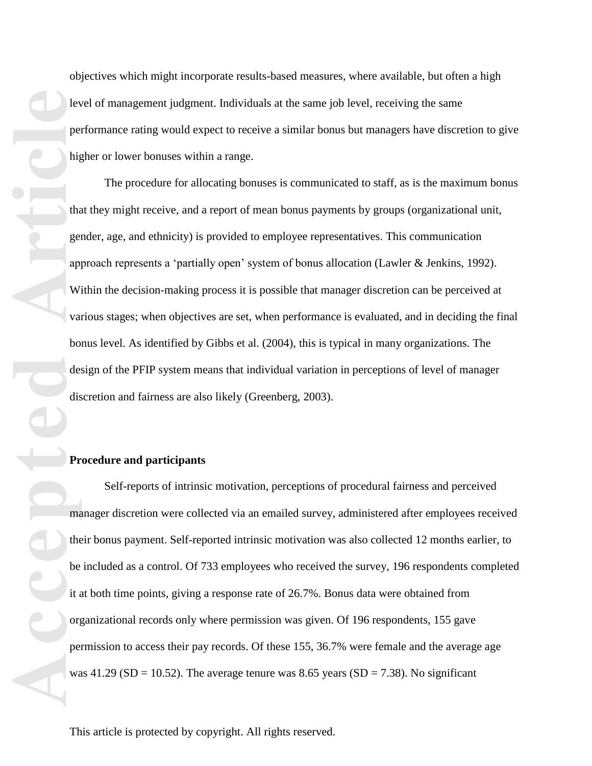objectives which might incorporate results-based measures, where available, but often a high level of management judgment. Individuals at the same job level, receiving the same performance rating would expect to receive a similar bonus but managers have discretion to give higher or lower bonuses within a range.

The procedure for allocating bonuses is communicated to staff, as is the maximum bonus that they might receive, and a report of mean bonus payments by groups (organizational unit, gender, age, and ethnicity) is provided to employee representatives. This communication approach represents a 'partially open' system of bonus allocation (Lawler & Jenkins, 1992). Within the decision-making process it is possible that manager discretion can be perceived at various stages; when objectives are set, when performance is evaluated, and in deciding the final bonus level. As identified by Gibbs et al. (2004), this is typical in many organizations. The design of the PFIP system means that individual variation in perceptions of level of manager discretion and fairness are also likely (Greenberg, 2003).

#### **Procedure and participants**

Self-reports of intrinsic motivation, perceptions of procedural fairness and perceived manager discretion were collected via an emailed survey, administered after employees received their bonus payment. Self-reported intrinsic motivation was also collected 12 months earlier, to be included as a control. Of 733 employees who received the survey, 196 respondents completed it at both time points, giving a response rate of 26.7%. Bonus data were obtained from organizational records only where permission was given. Of 196 respondents, 155 gave permission to access their pay records. Of these 155, 36.7% were female and the average age was  $41.29$  (SD = 10.52). The average tenure was 8.65 years (SD = 7.38). No significant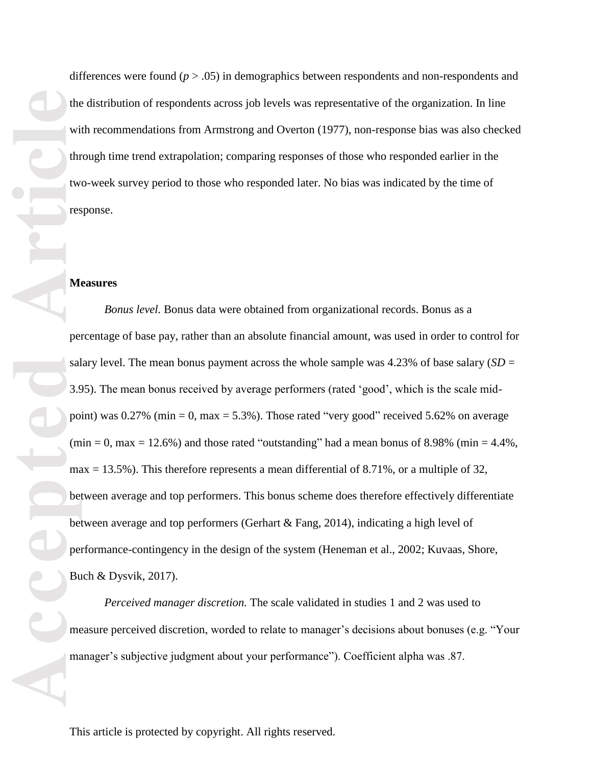the with two rest of the with two rest of the contract of the percent of the percent of the percent of the percent of the percent of the material of the material of the material of the material of the material of the mater

differences were found (*p* > .05) in demographics between respondents and non-respondents and the distribution of respondents across job levels was representative of the organization. In line with recommendations from Armstrong and Overton (1977), non-response bias was also checked through time trend extrapolation; comparing responses of those who responded earlier in the two-week survey period to those who responded later. No bias was indicated by the time of response.

#### **Measures**

*Bonus level.* Bonus data were obtained from organizational records. Bonus as a percentage of base pay, rather than an absolute financial amount, was used in order to control for salary level. The mean bonus payment across the whole sample was  $4.23\%$  of base salary (*SD* = 3.95). The mean bonus received by average performers (rated 'good', which is the scale midpoint) was  $0.27\%$  (min = 0, max = 5.3%). Those rated "very good" received 5.62% on average  $(\text{min} = 0, \text{max} = 12.6\%)$  and those rated "outstanding" had a mean bonus of 8.98% (min = 4.4%,  $max = 13.5\%$ ). This therefore represents a mean differential of 8.71%, or a multiple of 32, between average and top performers. This bonus scheme does therefore effectively differentiate between average and top performers (Gerhart & Fang, 2014), indicating a high level of performance-contingency in the design of the system (Heneman et al., 2002; Kuvaas, Shore, Buch & Dysvik, 2017).

*Perceived manager discretion.* The scale validated in studies 1 and 2 was used to measure perceived discretion, worded to relate to manager's decisions about bonuses (e.g. "Your manager's subjective judgment about your performance"). Coefficient alpha was .87.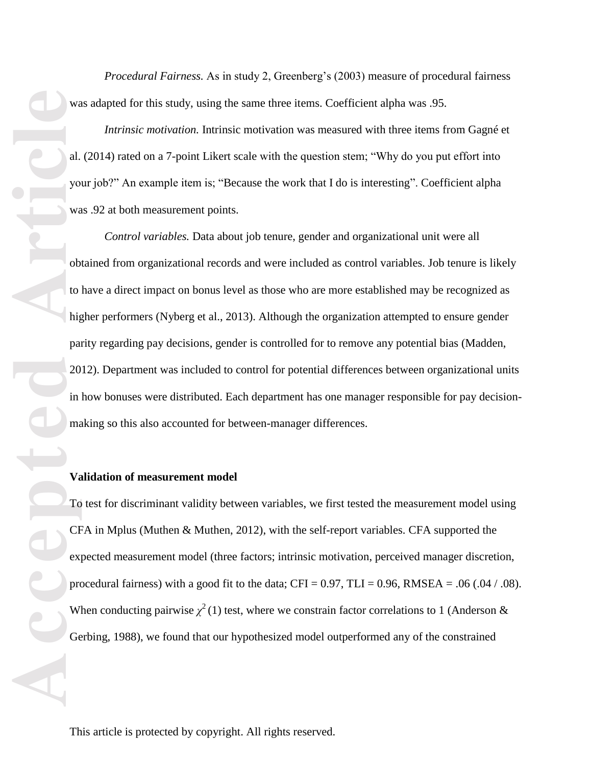*Procedural Fairness.* As in study 2, Greenberg's (2003) measure of procedural fairness was adapted for this study, using the same three items. Coefficient alpha was .95.

*Intrinsic motivation.* Intrinsic motivation was measured with three items from Gagné et al. (2014) rated on a 7-point Likert scale with the question stem; "Why do you put effort into your job?" An example item is; "Because the work that I do is interesting". Coefficient alpha was .92 at both measurement points.

*Control variables.* Data about job tenure, gender and organizational unit were all obtained from organizational records and were included as control variables. Job tenure is likely to have a direct impact on bonus level as those who are more established may be recognized as higher performers (Nyberg et al., 2013). Although the organization attempted to ensure gender parity regarding pay decisions, gender is controlled for to remove any potential bias (Madden, 2012). Department was included to control for potential differences between organizational units in how bonuses were distributed. Each department has one manager responsible for pay decisionmaking so this also accounted for between-manager differences.

## **Validation of measurement model**

To test for discriminant validity between variables, we first tested the measurement model using CFA in Mplus (Muthen & Muthen, 2012), with the self-report variables. CFA supported the expected measurement model (three factors; intrinsic motivation, perceived manager discretion, procedural fairness) with a good fit to the data;  $CFI = 0.97$ ,  $TLI = 0.96$ ,  $RMSEA = .06$  (.04 / .08). When conducting pairwise  $\chi^2(1)$  test, where we constrain factor correlations to 1 (Anderson & Gerbing, 1988), we found that our hypothesized model outperformed any of the constrained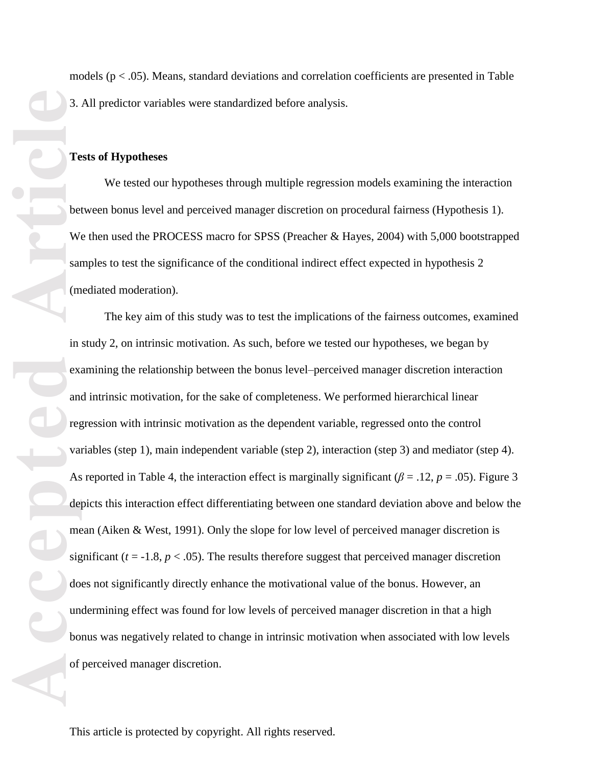models (p < .05). Means, standard deviations and correlation coefficients are presented in Table 3. All predictor variables were standardized before analysis.

### **Tests of Hypotheses**

We tested our hypotheses through multiple regression models examining the interaction between bonus level and perceived manager discretion on procedural fairness (Hypothesis 1). We then used the PROCESS macro for SPSS (Preacher & Hayes, 2004) with 5,000 bootstrapped samples to test the significance of the conditional indirect effect expected in hypothesis 2 (mediated moderation).

The key aim of this study was to test the implications of the fairness outcomes, examined in study 2, on intrinsic motivation. As such, before we tested our hypotheses, we began by examining the relationship between the bonus level–perceived manager discretion interaction and intrinsic motivation, for the sake of completeness. We performed hierarchical linear regression with intrinsic motivation as the dependent variable, regressed onto the control variables (step 1), main independent variable (step 2), interaction (step 3) and mediator (step 4). As reported in Table 4, the interaction effect is marginally significant ( $\beta = .12$ ,  $p = .05$ ). Figure 3 depicts this interaction effect differentiating between one standard deviation above and below the mean (Aiken & West, 1991). Only the slope for low level of perceived manager discretion is significant ( $t = -1.8$ ,  $p < .05$ ). The results therefore suggest that perceived manager discretion does not significantly directly enhance the motivational value of the bonus. However, an undermining effect was found for low levels of perceived manager discretion in that a high bonus was negatively related to change in intrinsic motivation when associated with low levels of perceived manager discretion.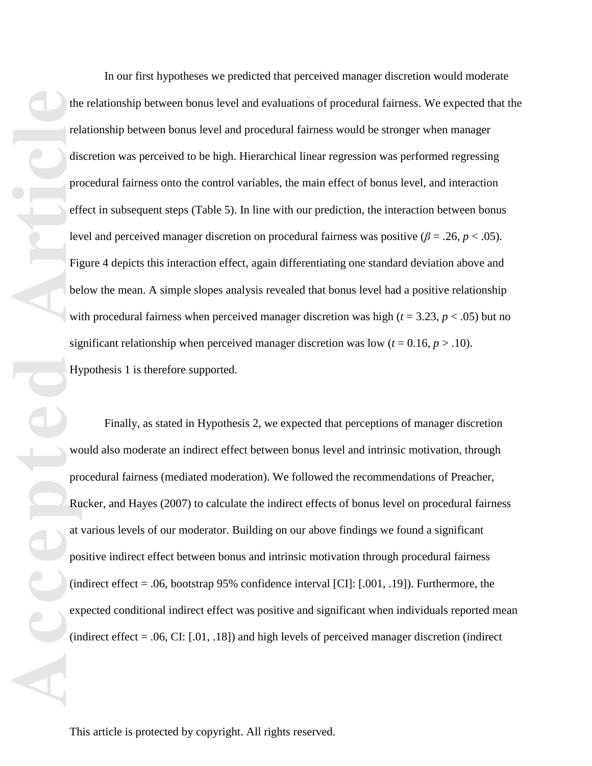the rel<br>
rel<br>
dis<br>
pro<br>
eff lev<br>
Fig bel<br>
wire sig<br>
We pro<br>
Ru<br>
at po<br>
(in exp (in exp)<br>
(in exp)

In our first hypotheses we predicted that perceived manager discretion would moderate the relationship between bonus level and evaluations of procedural fairness. We expected that the relationship between bonus level and procedural fairness would be stronger when manager discretion was perceived to be high. Hierarchical linear regression was performed regressing procedural fairness onto the control variables, the main effect of bonus level, and interaction effect in subsequent steps (Table 5). In line with our prediction, the interaction between bonus level and perceived manager discretion on procedural fairness was positive  $(\beta = .26, p < .05)$ . Figure 4 depicts this interaction effect, again differentiating one standard deviation above and below the mean. A simple slopes analysis revealed that bonus level had a positive relationship with procedural fairness when perceived manager discretion was high (*t* = 3.23, *p* < .05) but no significant relationship when perceived manager discretion was low  $(t = 0.16, p > .10)$ . Hypothesis 1 is therefore supported.

Finally, as stated in Hypothesis 2, we expected that perceptions of manager discretion would also moderate an indirect effect between bonus level and intrinsic motivation, through procedural fairness (mediated moderation). We followed the recommendations of Preacher, Rucker, and Hayes (2007) to calculate the indirect effects of bonus level on procedural fairness at various levels of our moderator. Building on our above findings we found a significant positive indirect effect between bonus and intrinsic motivation through procedural fairness (indirect effect = .06, bootstrap 95% confidence interval [CI]: [.001, .19]). Furthermore, the expected conditional indirect effect was positive and significant when individuals reported mean (indirect effect = .06, CI: [.01, .18]) and high levels of perceived manager discretion (indirect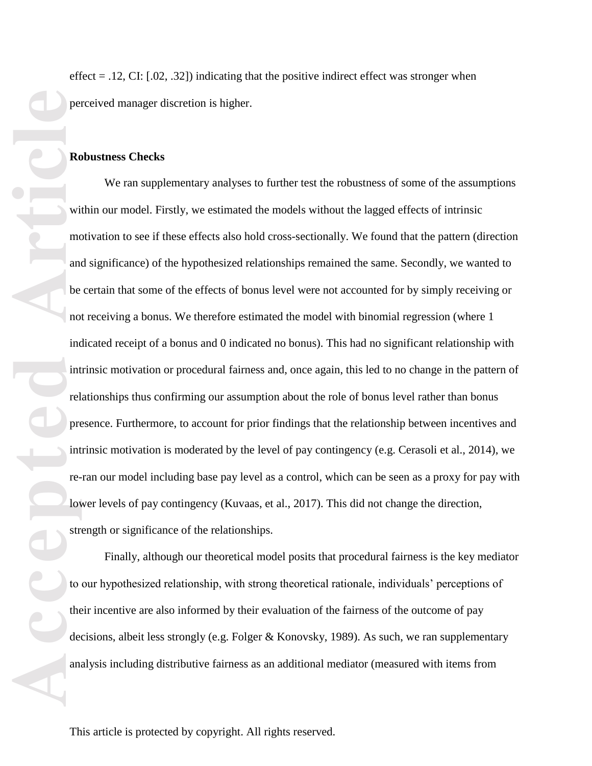effect  $= .12, \text{CI}$ : [.02, .32]) indicating that the positive indirect effect was stronger when perceived manager discretion is higher.

## **Robustness Checks**

We ran supplementary analyses to further test the robustness of some of the assumptions within our model. Firstly, we estimated the models without the lagged effects of intrinsic motivation to see if these effects also hold cross-sectionally. We found that the pattern (direction and significance) of the hypothesized relationships remained the same. Secondly, we wanted to be certain that some of the effects of bonus level were not accounted for by simply receiving or not receiving a bonus. We therefore estimated the model with binomial regression (where 1 indicated receipt of a bonus and 0 indicated no bonus). This had no significant relationship with intrinsic motivation or procedural fairness and, once again, this led to no change in the pattern of relationships thus confirming our assumption about the role of bonus level rather than bonus presence. Furthermore, to account for prior findings that the relationship between incentives and intrinsic motivation is moderated by the level of pay contingency (e.g. Cerasoli et al., 2014), we re-ran our model including base pay level as a control, which can be seen as a proxy for pay with lower levels of pay contingency (Kuvaas, et al., 2017). This did not change the direction, strength or significance of the relationships.

Finally, although our theoretical model posits that procedural fairness is the key mediator to our hypothesized relationship, with strong theoretical rationale, individuals' perceptions of their incentive are also informed by their evaluation of the fairness of the outcome of pay decisions, albeit less strongly (e.g. Folger & Konovsky, 1989). As such, we ran supplementary analysis including distributive fairness as an additional mediator (measured with items from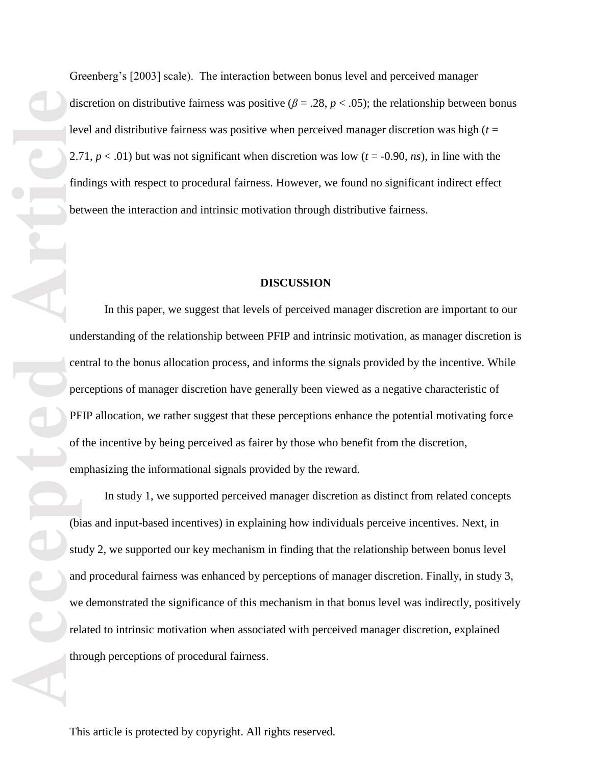Greenberg's [2003] scale). The interaction between bonus level and perceived manager discretion on distributive fairness was positive ( $\beta = .28$ ,  $p < .05$ ); the relationship between bonus level and distributive fairness was positive when perceived manager discretion was high (*t* = 2.71,  $p < .01$ ) but was not significant when discretion was low ( $t = -0.90$ , *ns*), in line with the findings with respect to procedural fairness. However, we found no significant indirect effect between the interaction and intrinsic motivation through distributive fairness.

### **DISCUSSION**

In this paper, we suggest that levels of perceived manager discretion are important to our understanding of the relationship between PFIP and intrinsic motivation, as manager discretion is central to the bonus allocation process, and informs the signals provided by the incentive. While perceptions of manager discretion have generally been viewed as a negative characteristic of PFIP allocation, we rather suggest that these perceptions enhance the potential motivating force of the incentive by being perceived as fairer by those who benefit from the discretion, emphasizing the informational signals provided by the reward.

In study 1, we supported perceived manager discretion as distinct from related concepts (bias and input-based incentives) in explaining how individuals perceive incentives. Next, in study 2, we supported our key mechanism in finding that the relationship between bonus level and procedural fairness was enhanced by perceptions of manager discretion. Finally, in study 3, we demonstrated the significance of this mechanism in that bonus level was indirectly, positively related to intrinsic motivation when associated with perceived manager discretion, explained through perceptions of procedural fairness.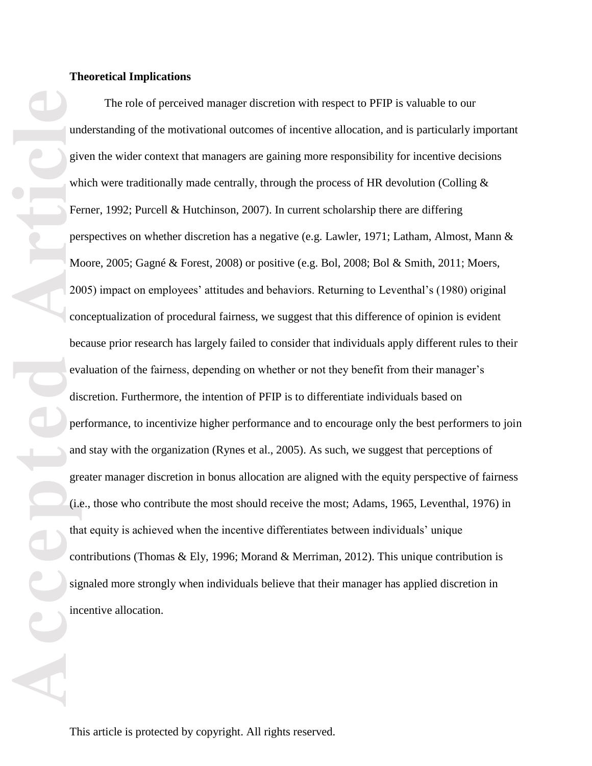## **Theoretical Implications**

**Accepted Articles Constructed Article**<br> **Article**<br> **Article**<br> **Article**<br> **Article**<br> **Article**<br> **Article**<br> **Article**<br> **Article**<br> **Article**<br> **Article**<br> **Article**<br> **Article**<br> **Article**<br> **Article**<br> **Article**<br> **Article**<br> The role of perceived manager discretion with respect to PFIP is valuable to our understanding of the motivational outcomes of incentive allocation, and is particularly important given the wider context that managers are gaining more responsibility for incentive decisions which were traditionally made centrally, through the process of HR devolution (Colling  $\&$ Ferner, 1992; Purcell & Hutchinson, 2007). In current scholarship there are differing perspectives on whether discretion has a negative (e.g. Lawler, 1971; Latham, Almost, Mann & Moore, 2005; Gagné & Forest, 2008) or positive (e.g. Bol, 2008; Bol & Smith, 2011; Moers, 2005) impact on employees' attitudes and behaviors. Returning to Leventhal's (1980) original conceptualization of procedural fairness, we suggest that this difference of opinion is evident because prior research has largely failed to consider that individuals apply different rules to their evaluation of the fairness, depending on whether or not they benefit from their manager's discretion. Furthermore, the intention of PFIP is to differentiate individuals based on performance, to incentivize higher performance and to encourage only the best performers to join and stay with the organization (Rynes et al., 2005). As such, we suggest that perceptions of greater manager discretion in bonus allocation are aligned with the equity perspective of fairness (i.e., those who contribute the most should receive the most; Adams, 1965, Leventhal, 1976) in that equity is achieved when the incentive differentiates between individuals' unique contributions (Thomas & Ely, 1996; Morand & Merriman, 2012). This unique contribution is signaled more strongly when individuals believe that their manager has applied discretion in incentive allocation.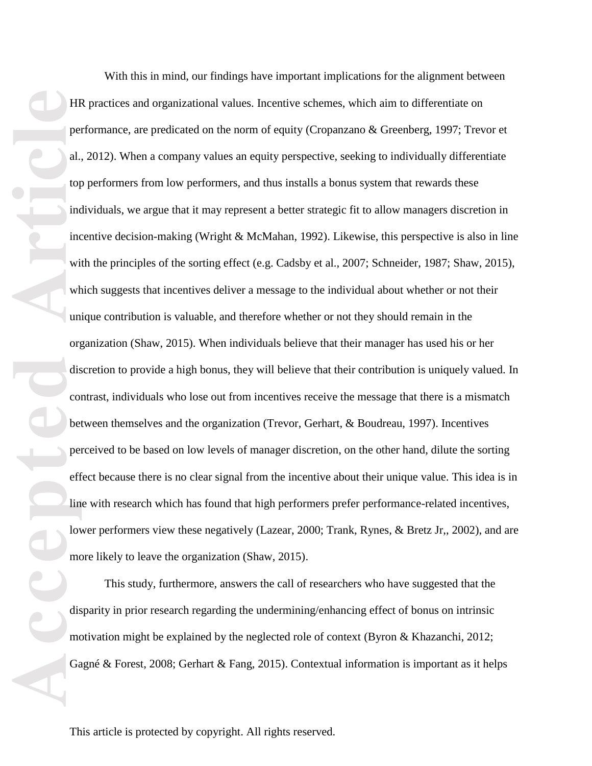**Article**<br> **Accepted**<br> **Article**<br> **Article**<br> **Article**<br> **Article**<br> **Article**<br> **Article**<br> **Article**<br> **Article**<br> **Article**<br> **Article**<br> **Article**<br> **Article**<br> **Article**<br> **Article**<br> **Article**<br> **Article**<br> **Article**<br> **Article**<br>

With this in mind, our findings have important implications for the alignment between HR practices and organizational values. Incentive schemes, which aim to differentiate on performance, are predicated on the norm of equity (Cropanzano & Greenberg, 1997; Trevor et al., 2012). When a company values an equity perspective, seeking to individually differentiate top performers from low performers, and thus installs a bonus system that rewards these individuals, we argue that it may represent a better strategic fit to allow managers discretion in incentive decision-making (Wright & McMahan, 1992). Likewise, this perspective is also in line with the principles of the sorting effect (e.g. Cadsby et al., 2007; Schneider, 1987; Shaw, 2015), which suggests that incentives deliver a message to the individual about whether or not their unique contribution is valuable, and therefore whether or not they should remain in the organization (Shaw, 2015). When individuals believe that their manager has used his or her discretion to provide a high bonus, they will believe that their contribution is uniquely valued. In contrast, individuals who lose out from incentives receive the message that there is a mismatch between themselves and the organization (Trevor, Gerhart, & Boudreau, 1997). Incentives perceived to be based on low levels of manager discretion, on the other hand, dilute the sorting effect because there is no clear signal from the incentive about their unique value. This idea is in line with research which has found that high performers prefer performance-related incentives, lower performers view these negatively (Lazear, 2000; Trank, Rynes, & Bretz Jr,, 2002), and are more likely to leave the organization (Shaw, 2015).

This study, furthermore, answers the call of researchers who have suggested that the disparity in prior research regarding the undermining/enhancing effect of bonus on intrinsic motivation might be explained by the neglected role of context (Byron & Khazanchi, 2012; Gagné & Forest, 2008; Gerhart & Fang, 2015). Contextual information is important as it helps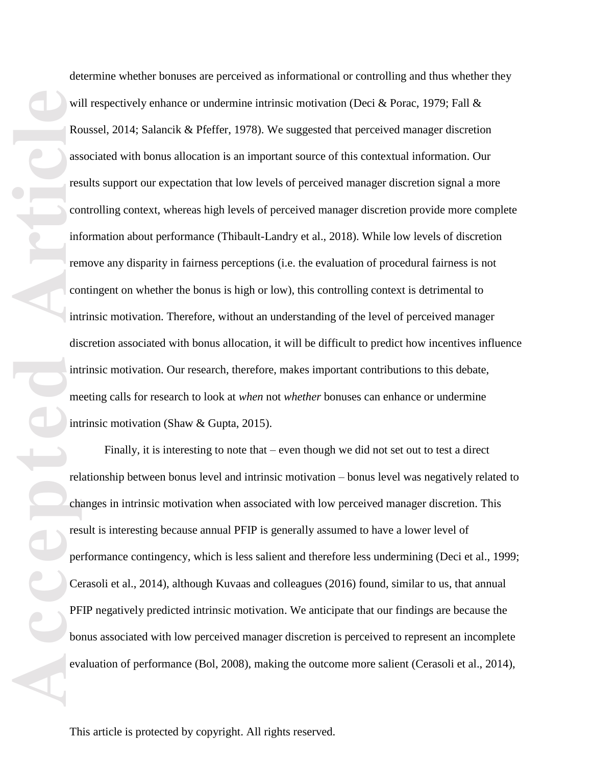WE RO<br>
RO<br>
ARC<br>
IRC<br>
IRC<br>
IRC<br>
IRC<br>
III THE CON<br>
III THE CON<br>
III THE CON<br>
III THE CON<br>
III THE CON<br>
III THE CON<br>
III THE CON<br>
III THE CON<br>
III THE CON<br>
III THE CON<br>
III THE CON<br>
III THE CON<br>
III THE CON<br>
III THE CON<br>
III

determine whether bonuses are perceived as informational or controlling and thus whether they will respectively enhance or undermine intrinsic motivation (Deci & Porac, 1979; Fall & Roussel, 2014; Salancik & Pfeffer, 1978). We suggested that perceived manager discretion associated with bonus allocation is an important source of this contextual information. Our results support our expectation that low levels of perceived manager discretion signal a more controlling context, whereas high levels of perceived manager discretion provide more complete information about performance (Thibault-Landry et al., 2018). While low levels of discretion remove any disparity in fairness perceptions (i.e. the evaluation of procedural fairness is not contingent on whether the bonus is high or low), this controlling context is detrimental to intrinsic motivation. Therefore, without an understanding of the level of perceived manager discretion associated with bonus allocation, it will be difficult to predict how incentives influence intrinsic motivation. Our research, therefore, makes important contributions to this debate, meeting calls for research to look at *when* not *whether* bonuses can enhance or undermine intrinsic motivation (Shaw & Gupta, 2015).

Finally, it is interesting to note that – even though we did not set out to test a direct relationship between bonus level and intrinsic motivation – bonus level was negatively related to changes in intrinsic motivation when associated with low perceived manager discretion. This result is interesting because annual PFIP is generally assumed to have a lower level of performance contingency, which is less salient and therefore less undermining (Deci et al., 1999; Cerasoli et al., 2014), although Kuvaas and colleagues (2016) found, similar to us, that annual PFIP negatively predicted intrinsic motivation. We anticipate that our findings are because the bonus associated with low perceived manager discretion is perceived to represent an incomplete evaluation of performance (Bol, 2008), making the outcome more salient (Cerasoli et al., 2014),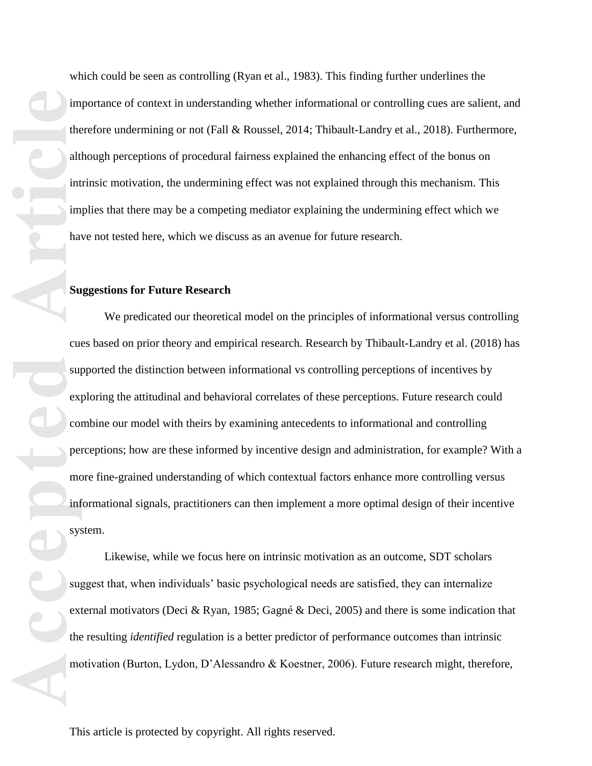which could be seen as controlling (Ryan et al., 1983). This finding further underlines the importance of context in understanding whether informational or controlling cues are salient, and therefore undermining or not (Fall & Roussel, 2014; Thibault-Landry et al., 2018). Furthermore, although perceptions of procedural fairness explained the enhancing effect of the bonus on intrinsic motivation, the undermining effect was not explained through this mechanism. This implies that there may be a competing mediator explaining the undermining effect which we have not tested here, which we discuss as an avenue for future research.

## **Suggestions for Future Research**

Fraction Contract Contract Contract Contract Contract Contract Contract Contract Contract Contract Contract Contract Contract Contract Contract Contract Contract Contract Contract Contract Contract Contract Contract Contra We predicated our theoretical model on the principles of informational versus controlling cues based on prior theory and empirical research. Research by Thibault-Landry et al. (2018) has supported the distinction between informational vs controlling perceptions of incentives by exploring the attitudinal and behavioral correlates of these perceptions. Future research could combine our model with theirs by examining antecedents to informational and controlling perceptions; how are these informed by incentive design and administration, for example? With a more fine-grained understanding of which contextual factors enhance more controlling versus informational signals, practitioners can then implement a more optimal design of their incentive system.

Likewise, while we focus here on intrinsic motivation as an outcome, SDT scholars suggest that, when individuals' basic psychological needs are satisfied, they can internalize external motivators (Deci & Ryan, 1985; Gagné & Deci, 2005) and there is some indication that the resulting *identified* regulation is a better predictor of performance outcomes than intrinsic motivation (Burton, Lydon, D'Alessandro & Koestner, 2006). Future research might, therefore,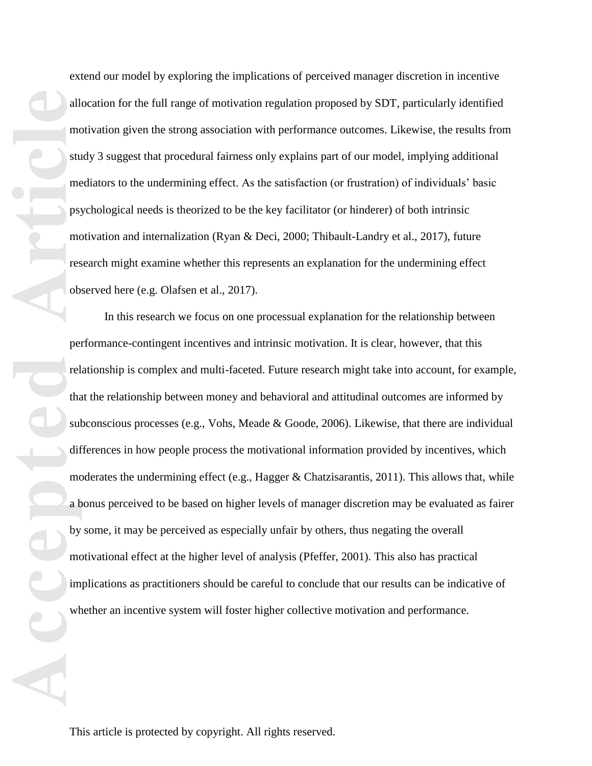extend our model by exploring the implications of perceived manager discretion in incentive allocation for the full range of motivation regulation proposed by SDT, particularly identified motivation given the strong association with performance outcomes. Likewise, the results from study 3 suggest that procedural fairness only explains part of our model, implying additional mediators to the undermining effect. As the satisfaction (or frustration) of individuals' basic psychological needs is theorized to be the key facilitator (or hinderer) of both intrinsic motivation and internalization (Ryan & Deci, 2000; Thibault-Landry et al., 2017), future research might examine whether this represents an explanation for the undermining effect observed here (e.g. Olafsen et al., 2017).

alle media to the psychology of the substrate of the substrate of the substrate of the substrate of the substrate of the substrate of the substrate of the substrate of the substrate of the substrate of the substrate of the In this research we focus on one processual explanation for the relationship between performance-contingent incentives and intrinsic motivation. It is clear, however, that this relationship is complex and multi-faceted. Future research might take into account, for example, that the relationship between money and behavioral and attitudinal outcomes are informed by subconscious processes (e.g., Vohs, Meade & Goode, 2006). Likewise, that there are individual differences in how people process the motivational information provided by incentives, which moderates the undermining effect (e.g., Hagger  $\&$  Chatzisarantis, 2011). This allows that, while a bonus perceived to be based on higher levels of manager discretion may be evaluated as fairer by some, it may be perceived as especially unfair by others, thus negating the overall motivational effect at the higher level of analysis (Pfeffer, 2001). This also has practical implications as practitioners should be careful to conclude that our results can be indicative of whether an incentive system will foster higher collective motivation and performance.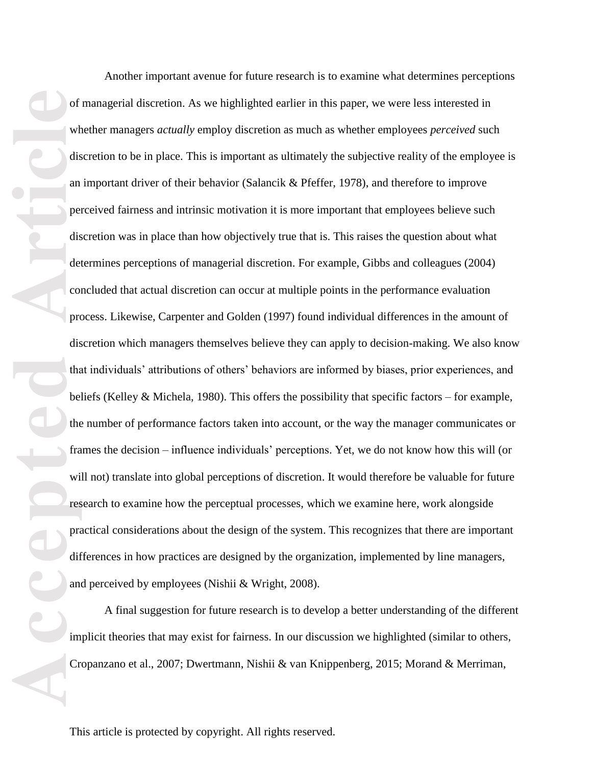of the distant per distant difference of the distant difference of the distant difference of the difference of the difference of the difference of the difference of the difference of the difference of the difference of the Another important avenue for future research is to examine what determines perceptions A final suggestion for future research is to develop a better understanding of the different implicit theories that may exist for fairness. In our discussion we highlighted (similar to others, Cropanzano et al., 2007; Dwertmann, Nishii & van Knippenberg, 2015; Morand & Merriman,

This article is protected by copyright. All rights reserved.

of managerial discretion. As we highlighted earlier in this paper, we were less interested in whether managers *actually* employ discretion as much as whether employees *perceived* such discretion to be in place. This is important as ultimately the subjective reality of the employee is an important driver of their behavior (Salancik & Pfeffer, 1978), and therefore to improve perceived fairness and intrinsic motivation it is more important that employees believe such discretion was in place than how objectively true that is. This raises the question about what determines perceptions of managerial discretion. For example, Gibbs and colleagues (2004) concluded that actual discretion can occur at multiple points in the performance evaluation process. Likewise, Carpenter and Golden (1997) found individual differences in the amount of discretion which managers themselves believe they can apply to decision-making. We also know that individuals' attributions of others' behaviors are informed by biases, prior experiences, and beliefs (Kelley & Michela, 1980). This offers the possibility that specific factors – for example, the number of performance factors taken into account, or the way the manager communicates or frames the decision – influence individuals' perceptions. Yet, we do not know how this will (or will not) translate into global perceptions of discretion. It would therefore be valuable for future research to examine how the perceptual processes, which we examine here, work alongside practical considerations about the design of the system. This recognizes that there are important differences in how practices are designed by the organization, implemented by line managers, and perceived by employees (Nishii & Wright, 2008).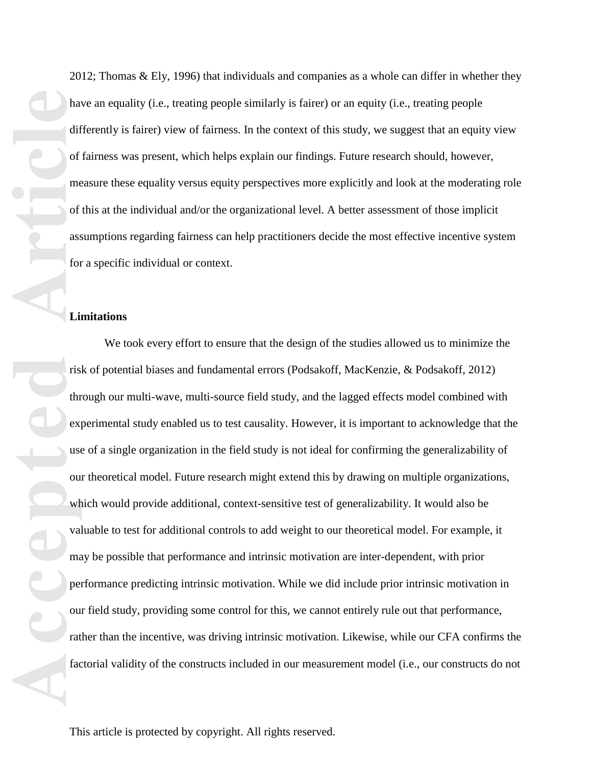**Accepted Articles I Article**<br> **Accepted Articles I Articles I Articles I Articles Contract Properties Interacted Articles Contract Properties I Articles Contract Properties I Articles Contract Properties Limitations**

2012; Thomas & Ely, 1996) that individuals and companies as a whole can differ in whether they have an equality (i.e., treating people similarly is fairer) or an equity (i.e., treating people differently is fairer) view of fairness. In the context of this study, we suggest that an equity view of fairness was present, which helps explain our findings. Future research should, however, measure these equality versus equity perspectives more explicitly and look at the moderating role of this at the individual and/or the organizational level. A better assessment of those implicit assumptions regarding fairness can help practitioners decide the most effective incentive system for a specific individual or context.

We took every effort to ensure that the design of the studies allowed us to minimize the risk of potential biases and fundamental errors (Podsakoff, MacKenzie, & Podsakoff, 2012) through our multi-wave, multi-source field study, and the lagged effects model combined with experimental study enabled us to test causality. However, it is important to acknowledge that the use of a single organization in the field study is not ideal for confirming the generalizability of our theoretical model. Future research might extend this by drawing on multiple organizations, which would provide additional, context-sensitive test of generalizability. It would also be valuable to test for additional controls to add weight to our theoretical model. For example, it may be possible that performance and intrinsic motivation are inter-dependent, with prior performance predicting intrinsic motivation. While we did include prior intrinsic motivation in our field study, providing some control for this, we cannot entirely rule out that performance, rather than the incentive, was driving intrinsic motivation. Likewise, while our CFA confirms the factorial validity of the constructs included in our measurement model (i.e., our constructs do not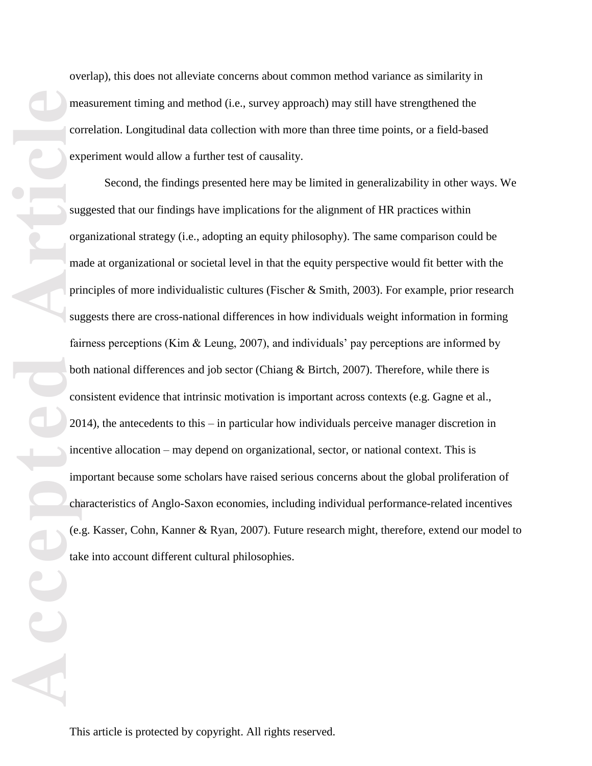overlap), this does not alleviate concerns about common method variance as similarity in measurement timing and method (i.e., survey approach) may still have strengthened the correlation. Longitudinal data collection with more than three time points, or a field-based experiment would allow a further test of causality.

Second, the findings presented here may be limited in generalizability in other ways. We suggested that our findings have implications for the alignment of HR practices within organizational strategy (i.e., adopting an equity philosophy). The same comparison could be made at organizational or societal level in that the equity perspective would fit better with the principles of more individualistic cultures (Fischer & Smith, 2003). For example, prior research suggests there are cross-national differences in how individuals weight information in forming fairness perceptions (Kim & Leung, 2007), and individuals' pay perceptions are informed by both national differences and job sector (Chiang & Birtch, 2007). Therefore, while there is consistent evidence that intrinsic motivation is important across contexts (e.g. Gagne et al., 2014), the antecedents to this – in particular how individuals perceive manager discretion in incentive allocation – may depend on organizational, sector, or national context. This is important because some scholars have raised serious concerns about the global proliferation of characteristics of Anglo-Saxon economies, including individual performance-related incentives (e.g. Kasser, Cohn, Kanner & Ryan, 2007). Future research might, therefore, extend our model to take into account different cultural philosophies.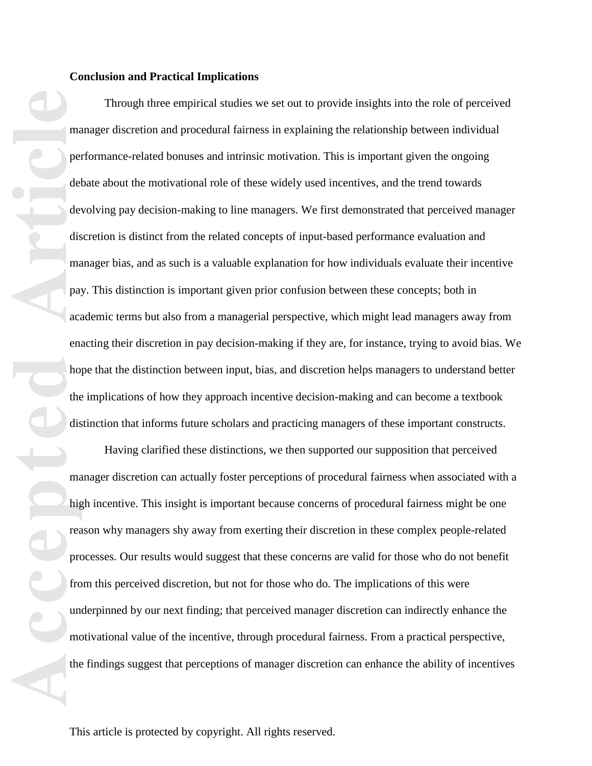**Accepted Article**<br> **Article**<br> **Article**<br> **Article**<br> **Article**<br> **Article**<br> **Article**<br> **Article**<br> **Article**<br> **Article**<br> **Article**<br> **Article**<br> **Article**<br> **Article**<br> **Article**<br> **Article**<br> **Article**<br> **Article**<br> **Article**<br> **A** Through three empirical studies we set out to provide insights into the role of perceived manager discretion and procedural fairness in explaining the relationship between individual performance-related bonuses and intrinsic motivation. This is important given the ongoing debate about the motivational role of these widely used incentives, and the trend towards devolving pay decision-making to line managers. We first demonstrated that perceived manager discretion is distinct from the related concepts of input-based performance evaluation and manager bias, and as such is a valuable explanation for how individuals evaluate their incentive pay. This distinction is important given prior confusion between these concepts; both in academic terms but also from a managerial perspective, which might lead managers away from enacting their discretion in pay decision-making if they are, for instance, trying to avoid bias. We hope that the distinction between input, bias, and discretion helps managers to understand better the implications of how they approach incentive decision-making and can become a textbook distinction that informs future scholars and practicing managers of these important constructs.

Having clarified these distinctions, we then supported our supposition that perceived manager discretion can actually foster perceptions of procedural fairness when associated with a high incentive. This insight is important because concerns of procedural fairness might be one reason why managers shy away from exerting their discretion in these complex people-related processes. Our results would suggest that these concerns are valid for those who do not benefit from this perceived discretion, but not for those who do. The implications of this were underpinned by our next finding; that perceived manager discretion can indirectly enhance the motivational value of the incentive, through procedural fairness. From a practical perspective, the findings suggest that perceptions of manager discretion can enhance the ability of incentives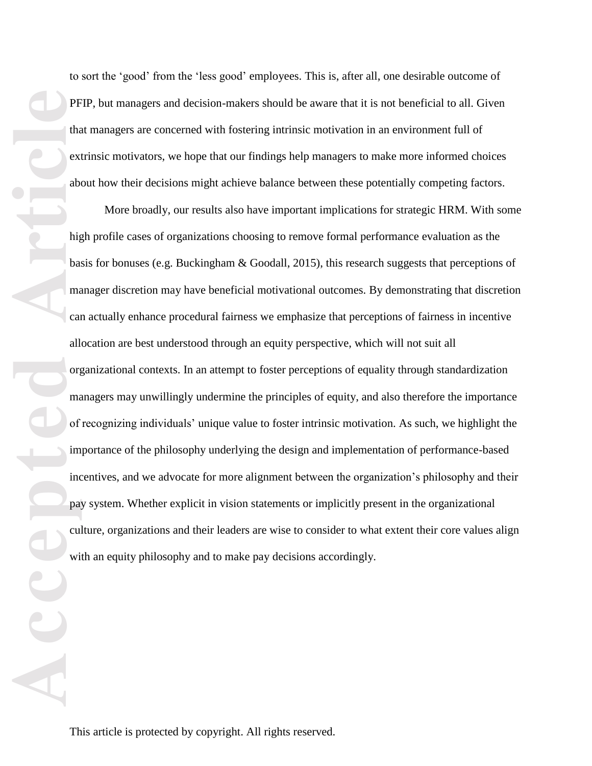PF<br>
tha ext<br>
abvext<br>
abd<br>
all brag<br>
call org<br>
ma of<br>
minc<br>
pa:<br>
cul<br>
wi 

to sort the 'good' from the 'less good' employees. This is, after all, one desirable outcome of PFIP, but managers and decision-makers should be aware that it is not beneficial to all. Given that managers are concerned with fostering intrinsic motivation in an environment full of extrinsic motivators, we hope that our findings help managers to make more informed choices about how their decisions might achieve balance between these potentially competing factors.

More broadly, our results also have important implications for strategic HRM. With some high profile cases of organizations choosing to remove formal performance evaluation as the basis for bonuses (e.g. Buckingham & Goodall, 2015), this research suggests that perceptions of manager discretion may have beneficial motivational outcomes. By demonstrating that discretion can actually enhance procedural fairness we emphasize that perceptions of fairness in incentive allocation are best understood through an equity perspective, which will not suit all organizational contexts. In an attempt to foster perceptions of equality through standardization managers may unwillingly undermine the principles of equity, and also therefore the importance of recognizing individuals' unique value to foster intrinsic motivation. As such, we highlight the importance of the philosophy underlying the design and implementation of performance-based incentives, and we advocate for more alignment between the organization's philosophy and their pay system. Whether explicit in vision statements or implicitly present in the organizational culture, organizations and their leaders are wise to consider to what extent their core values align with an equity philosophy and to make pay decisions accordingly.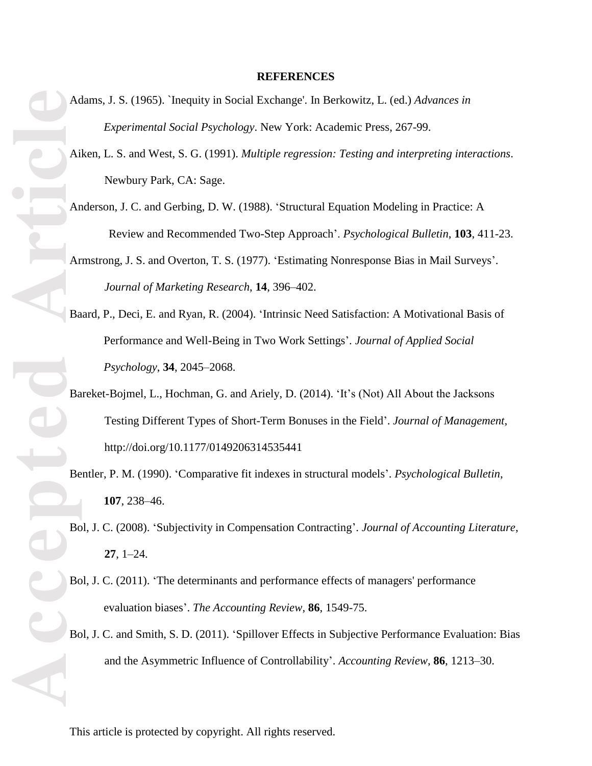## **REFERENCES**

- Adams, J. S. (1965). `Inequity in Social Exchange'. In Berkowitz, L. (ed.) *Advances in Experimental Social Psychology*. New York: Academic Press, 267-99.
- Aiken, L. S. and West, S. G. (1991). *Multiple regression: Testing and interpreting interactions*. Newbury Park, CA: Sage.
- Anderson, J. C. and Gerbing, D. W. (1988). 'Structural Equation Modeling in Practice: A Review and Recommended Two-Step Approach'. *Psychological Bulletin*, **103**, 411-23.
- Armstrong, J. S. and Overton, T. S. (1977). 'Estimating Nonresponse Bias in Mail Surveys'. *Journal of Marketing Research*, **14**, 396–402.
- Baard, P., Deci, E. and Ryan, R. (2004). 'Intrinsic Need Satisfaction: A Motivational Basis of Performance and Well-Being in Two Work Settings'. *Journal of Applied Social Psychology*, **34**, 2045–2068.
- **Accepted Accepted Accepted Accepted Accepted Accepted Accepted Accepted Accepted Accepted Accepted Accepted Accepted Accepted Accepted Accepted Accepted Accepted Accepted Accepted A** Bareket-Bojmel, L., Hochman, G. and Ariely, D. (2014). 'It's (Not) All About the Jacksons Testing Different Types of Short-Term Bonuses in the Field'. *Journal of Management*, http://doi.org/10.1177/0149206314535441
	- Bentler, P. M. (1990). 'Comparative fit indexes in structural models'. *Psychological Bulletin*, **107**, 238–46.
	- Bol, J. C. (2008). 'Subjectivity in Compensation Contracting'. *Journal of Accounting Literature*, **27**, 1–24.
	- Bol, J. C. (2011). 'The determinants and performance effects of managers' performance evaluation biases'. *The Accounting Review*, **86**, 1549-75.
	- Bol, J. C. and Smith, S. D. (2011). 'Spillover Effects in Subjective Performance Evaluation: Bias and the Asymmetric Influence of Controllability'. *Accounting Review*, **86**, 1213–30.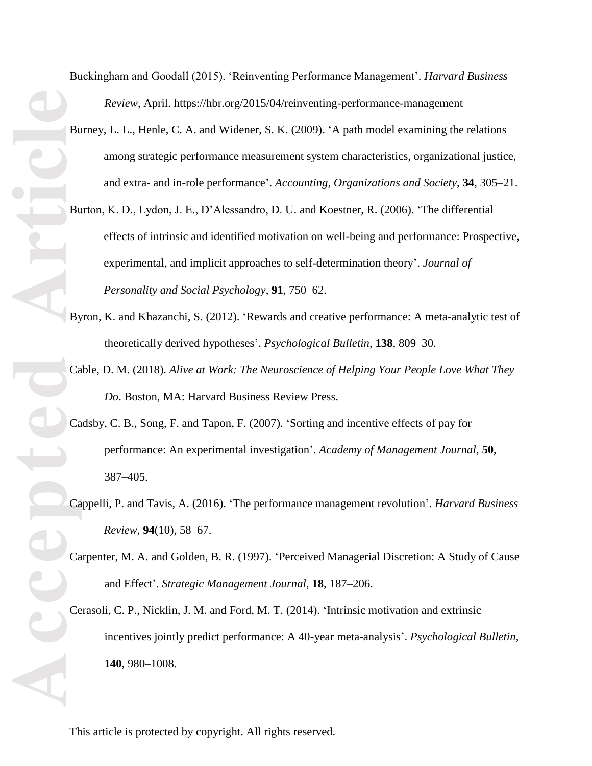Buckingham and Goodall (2015). 'Reinventing Performance Management'. *Harvard Business Review*, April. https://hbr.org/2015/04/reinventing-performance-management

- Burney, L. L., Henle, C. A. and Widener, S. K. (2009). 'A path model examining the relations among strategic performance measurement system characteristics, organizational justice, and extra- and in-role performance'. *Accounting, Organizations and Society*, **34**, 305–21.
- Burton, K. D., Lydon, J. E., D'Alessandro, D. U. and Koestner, R. (2006). 'The differential effects of intrinsic and identified motivation on well-being and performance: Prospective, experimental, and implicit approaches to self-determination theory'. *Journal of Personality and Social Psychology*, **91**, 750–62.
- Byron, K. and Khazanchi, S. (2012). 'Rewards and creative performance: A meta-analytic test of theoretically derived hypotheses'. *Psychological Bulletin*, **138**, 809–30.
- Cable, D. M. (2018). *Alive at Work: The Neuroscience of Helping Your People Love What They Do*. Boston, MA: Harvard Business Review Press.
- Cadsby, C. B., Song, F. and Tapon, F. (2007). 'Sorting and incentive effects of pay for performance: An experimental investigation'. *Academy of Management Journal*, **50**, 387–405.
- Cappelli, P. and Tavis, A. (2016). 'The performance management revolution'. *Harvard Business Review*, **94**(10), 58–67.
- Carpenter, M. A. and Golden, B. R. (1997). 'Perceived Managerial Discretion: A Study of Cause and Effect'. *Strategic Management Journal*, **18**, 187–206.
- Cerasoli, C. P., Nicklin, J. M. and Ford, M. T. (2014). 'Intrinsic motivation and extrinsic incentives jointly predict performance: A 40-year meta-analysis'. *Psychological Bulletin*, **140**, 980–1008.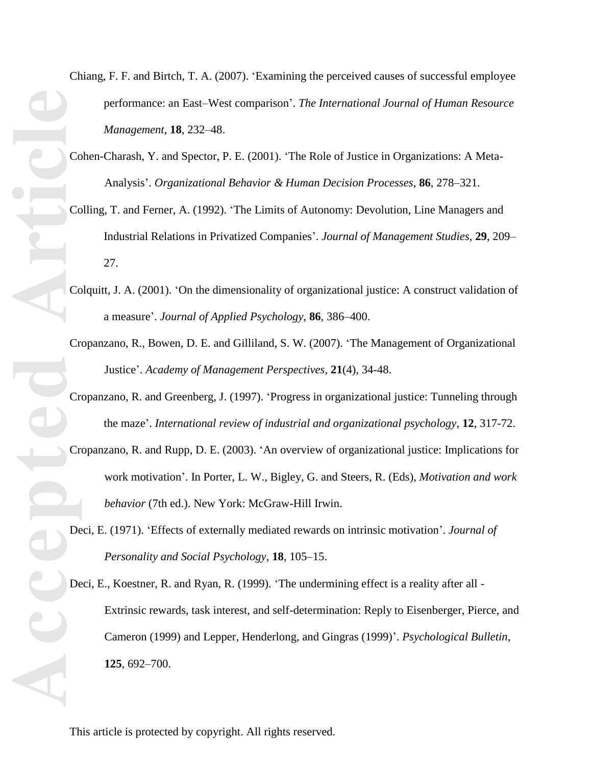- Chiang, F. F. and Birtch, T. A. (2007). 'Examining the perceived causes of successful employee performance: an East–West comparison'. *The International Journal of Human Resource Management*, **18**, 232–48.
- Cohen-Charash, Y. and Spector, P. E. (2001). 'The Role of Justice in Organizations: A Meta-Analysis'. *Organizational Behavior & Human Decision Processes*, **86**, 278–321.
- Colling, T. and Ferner, A. (1992). 'The Limits of Autonomy: Devolution, Line Managers and Industrial Relations in Privatized Companies'. *Journal of Management Studies*, **29**, 209– 27.
- Colquitt, J. A. (2001). 'On the dimensionality of organizational justice: A construct validation of a measure'. *Journal of Applied Psychology*, **86**, 386–400.
- Cropanzano, R., Bowen, D. E. and Gilliland, S. W. (2007). 'The Management of Organizational Justice'. *Academy of Management Perspectives,* **21**(4), 34-48.
- Cropanzano, R. and Greenberg, J. (1997). 'Progress in organizational justice: Tunneling through the maze'. *International review of industrial and organizational psychology*, **12**, 317-72.
- Cropanzano, R. and Rupp, D. E. (2003). 'An overview of organizational justice: Implications for work motivation'. In Porter, L. W., Bigley, G. and Steers, R. (Eds), *Motivation and work behavior* (7th ed.). New York: McGraw-Hill Irwin.
- Deci, E. (1971). 'Effects of externally mediated rewards on intrinsic motivation'. *Journal of Personality and Social Psychology*, **18**, 105–15.
- Deci, E., Koestner, R. and Ryan, R. (1999). 'The undermining effect is a reality after all Extrinsic rewards, task interest, and self-determination: Reply to Eisenberger, Pierce, and Cameron (1999) and Lepper, Henderlong, and Gingras (1999)'. *Psychological Bulletin*, **125**, 692–700.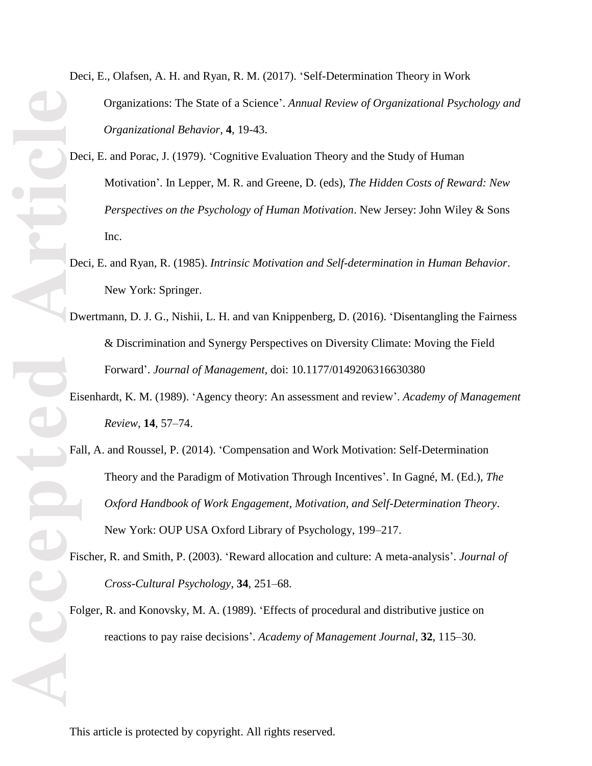Deci, E., Olafsen, A. H. and Ryan, R. M. (2017). 'Self-Determination Theory in Work Organizations: The State of a Science'. *Annual Review of Organizational Psychology and Organizational Behavior*, **4**, 19-43.

- Deci, E. and Porac, J. (1979). 'Cognitive Evaluation Theory and the Study of Human Motivation'. In Lepper, M. R. and Greene, D. (eds), *The Hidden Costs of Reward: New Perspectives on the Psychology of Human Motivation*. New Jersey: John Wiley & Sons Inc.
- Deci, E. and Ryan, R. (1985). *Intrinsic Motivation and Self-determination in Human Behavior*. New York: Springer.
- Dwertmann, D. J. G., Nishii, L. H. and van Knippenberg, D. (2016). 'Disentangling the Fairness & Discrimination and Synergy Perspectives on Diversity Climate: Moving the Field Forward'. *Journal of Management,* doi: 10.1177/0149206316630380
- Eisenhardt, K. M. (1989). 'Agency theory: An assessment and review'. *Academy of Management Review*, **14**, 57–74.
- Fall, A. and Roussel, P. (2014). 'Compensation and Work Motivation: Self-Determination Theory and the Paradigm of Motivation Through Incentives'. In Gagné, M. (Ed.), *The Oxford Handbook of Work Engagement, Motivation, and Self-Determination Theory*. New York: OUP USA Oxford Library of Psychology, 199–217.
- Fischer, R. and Smith, P. (2003). 'Reward allocation and culture: A meta-analysis'. *Journal of Cross-Cultural Psychology*, **34**, 251–68.
- Folger, R. and Konovsky, M. A. (1989). 'Effects of procedural and distributive justice on reactions to pay raise decisions'. *Academy of Management Journal*, **32**, 115–30.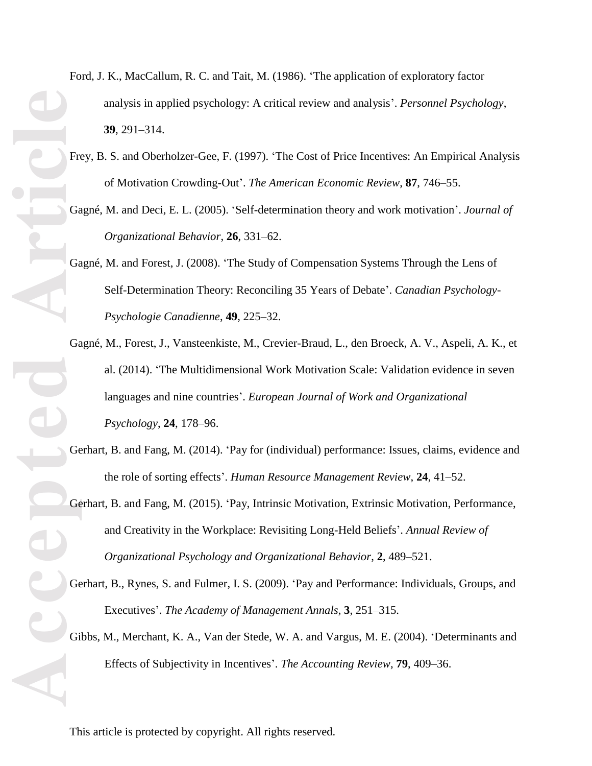- Ford, J. K., MacCallum, R. C. and Tait, M. (1986). 'The application of exploratory factor analysis in applied psychology: A critical review and analysis'. *Personnel Psychology*, **39**, 291–314.
- Frey, B. S. and Oberholzer-Gee, F. (1997). 'The Cost of Price Incentives: An Empirical Analysis of Motivation Crowding-Out'. *The American Economic Review*, **87**, 746–55.
- Gagné, M. and Deci, E. L. (2005). 'Self-determination theory and work motivation'. *Journal of Organizational Behavior*, **26**, 331–62.
- Gagné, M. and Forest, J. (2008). 'The Study of Compensation Systems Through the Lens of Self-Determination Theory: Reconciling 35 Years of Debate'. *Canadian Psychology-Psychologie Canadienne*, **49**, 225–32.
- **Accepted Article** Gagné, M., Forest, J., Vansteenkiste, M., Crevier-Braud, L., den Broeck, A. V., Aspeli, A. K., et al. (2014). 'The Multidimensional Work Motivation Scale: Validation evidence in seven languages and nine countries'. *European Journal of Work and Organizational Psychology*, **24**, 178–96.
	- Gerhart, B. and Fang, M. (2014). 'Pay for (individual) performance: Issues, claims, evidence and the role of sorting effects'. *Human Resource Management Review*, **24**, 41–52.
	- Gerhart, B. and Fang, M. (2015). 'Pay, Intrinsic Motivation, Extrinsic Motivation, Performance, and Creativity in the Workplace: Revisiting Long-Held Beliefs'. *Annual Review of Organizational Psychology and Organizational Behavior*, **2**, 489–521.
	- Gerhart, B., Rynes, S. and Fulmer, I. S. (2009). 'Pay and Performance: Individuals, Groups, and Executives'. *The Academy of Management Annals*, **3**, 251–315.
	- Gibbs, M., Merchant, K. A., Van der Stede, W. A. and Vargus, M. E. (2004). 'Determinants and Effects of Subjectivity in Incentives'. *The Accounting Review*, **79**, 409–36.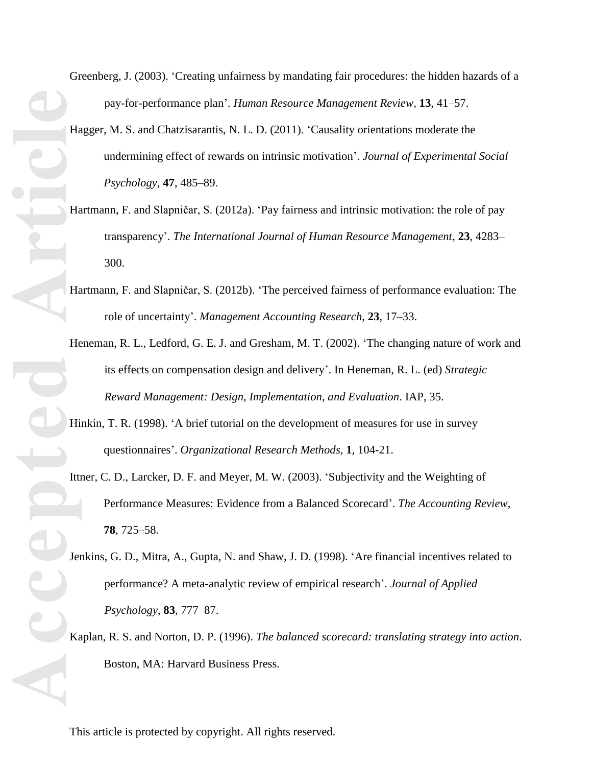Greenberg, J. (2003). 'Creating unfairness by mandating fair procedures: the hidden hazards of a pay-for-performance plan'. *Human Resource Management Review*, **13**, 41–57.

- Hagger, M. S. and Chatzisarantis, N. L. D. (2011). 'Causality orientations moderate the undermining effect of rewards on intrinsic motivation'. *Journal of Experimental Social Psychology*, **47**, 485–89.
- Hartmann, F. and Slapničar, S. (2012a). 'Pay fairness and intrinsic motivation: the role of pay transparency'. *The International Journal of Human Resource Management*, **23**, 4283– 300.
- Hartmann, F. and Slapničar, S. (2012b). 'The perceived fairness of performance evaluation: The role of uncertainty'. *Management Accounting Research*, **23**, 17–33.
- Heneman, R. L., Ledford, G. E. J. and Gresham, M. T. (2002). 'The changing nature of work and its effects on compensation design and delivery'. In Heneman, R. L. (ed) *Strategic Reward Management: Design, Implementation, and Evaluation*. IAP, 35.
- Hinkin, T. R. (1998). 'A brief tutorial on the development of measures for use in survey questionnaires'. *Organizational Research Methods*, **1**, 104-21.
- Ittner, C. D., Larcker, D. F. and Meyer, M. W. (2003). 'Subjectivity and the Weighting of Performance Measures: Evidence from a Balanced Scorecard'. *The Accounting Review*, **78**, 725–58.
- Jenkins, G. D., Mitra, A., Gupta, N. and Shaw, J. D. (1998). 'Are financial incentives related to performance? A meta-analytic review of empirical research'. *Journal of Applied Psychology*, **83**, 777–87.
- Kaplan, R. S. and Norton, D. P. (1996). *The balanced scorecard: translating strategy into action*. Boston, MA: Harvard Business Press.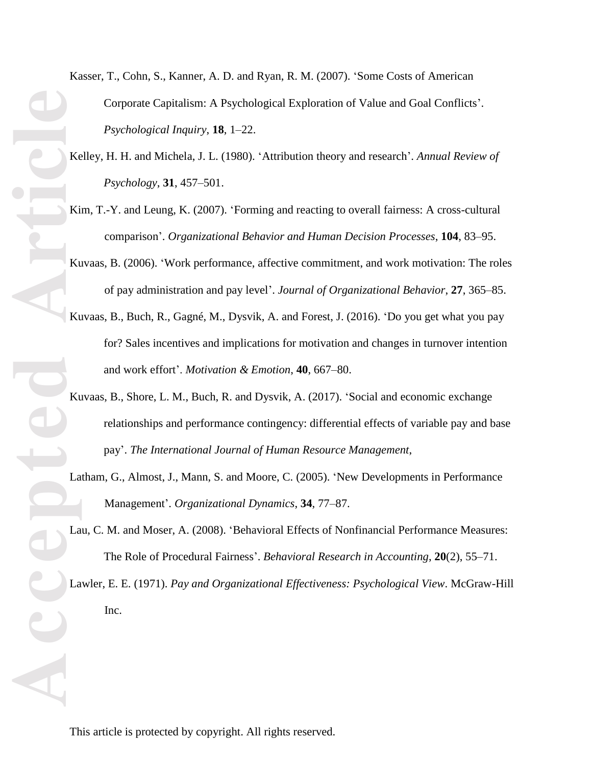- Kasser, T., Cohn, S., Kanner, A. D. and Ryan, R. M. (2007). 'Some Costs of American Corporate Capitalism: A Psychological Exploration of Value and Goal Conflicts'. *Psychological Inquiry*, **18**, 1–22.
- Kelley, H. H. and Michela, J. L. (1980). 'Attribution theory and research'. *Annual Review of Psychology*, **31**, 457–501.
- Kim, T.-Y. and Leung, K. (2007). 'Forming and reacting to overall fairness: A cross-cultural comparison'. *Organizational Behavior and Human Decision Processes*, **104**, 83–95.
- Kuvaas, B. (2006). 'Work performance, affective commitment, and work motivation: The roles of pay administration and pay level'. *Journal of Organizational Behavior*, **27**, 365–85.
- Kuvaas, B., Buch, R., Gagné, M., Dysvik, A. and Forest, J. (2016). 'Do you get what you pay for? Sales incentives and implications for motivation and changes in turnover intention and work effort'. *Motivation & Emotion*, **40**, 667–80.
- Kuvaas, B., Shore, L. M., Buch, R. and Dysvik, A. (2017). 'Social and economic exchange relationships and performance contingency: differential effects of variable pay and base pay'. *The International Journal of Human Resource Management*,
- Latham, G., Almost, J., Mann, S. and Moore, C. (2005). 'New Developments in Performance Management'. *Organizational Dynamics*, **34**, 77–87.
- Lau, C. M. and Moser, A. (2008). 'Behavioral Effects of Nonfinancial Performance Measures: The Role of Procedural Fairness'. *Behavioral Research in Accounting*, **20**(2), 55–71.

Lawler, E. E. (1971). *Pay and Organizational Effectiveness: Psychological View*. McGraw-Hill Inc.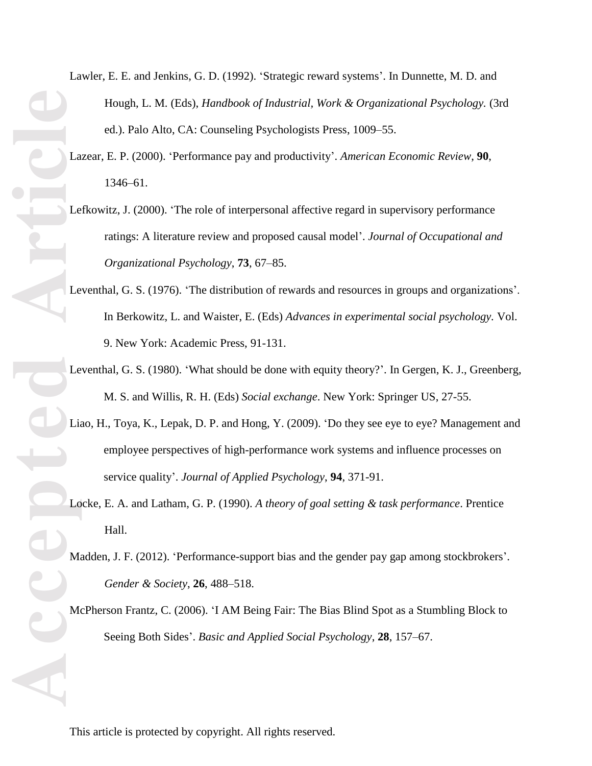- **ACCEPTED**
- Lawler, E. E. and Jenkins, G. D. (1992). 'Strategic reward systems'. In Dunnette, M. D. and Hough, L. M. (Eds), *Handbook of Industrial, Work & Organizational Psychology.* (3rd ed.). Palo Alto, CA: Counseling Psychologists Press, 1009–55.
	- Lazear, E. P. (2000). 'Performance pay and productivity'. *American Economic Review*, **90**, 1346–61.
	- Lefkowitz, J. (2000). 'The role of interpersonal affective regard in supervisory performance ratings: A literature review and proposed causal model'. *Journal of Occupational and Organizational Psychology*, **73**, 67–85.
	- Leventhal, G. S. (1976). 'The distribution of rewards and resources in groups and organizations'. In Berkowitz, L. and Waister, E. (Eds) *Advances in experimental social psychology.* Vol. 9. New York: Academic Press, 91-131.
	- Leventhal, G. S. (1980). 'What should be done with equity theory?'. In Gergen, K. J., Greenberg, M. S. and Willis, R. H. (Eds) *Social exchange*. New York: Springer US, 27-55.
	- Liao, H., Toya, K., Lepak, D. P. and Hong, Y. (2009). 'Do they see eye to eye? Management and employee perspectives of high-performance work systems and influence processes on service quality'. *Journal of Applied Psychology*, **94**, 371-91.
	- Locke, E. A. and Latham, G. P. (1990). *A theory of goal setting & task performance*. Prentice Hall.
	- Madden, J. F. (2012). 'Performance-support bias and the gender pay gap among stockbrokers'. *Gender & Society*, **26**, 488–518.
	- McPherson Frantz, C. (2006). 'I AM Being Fair: The Bias Blind Spot as a Stumbling Block to Seeing Both Sides'. *Basic and Applied Social Psychology*, **28**, 157–67.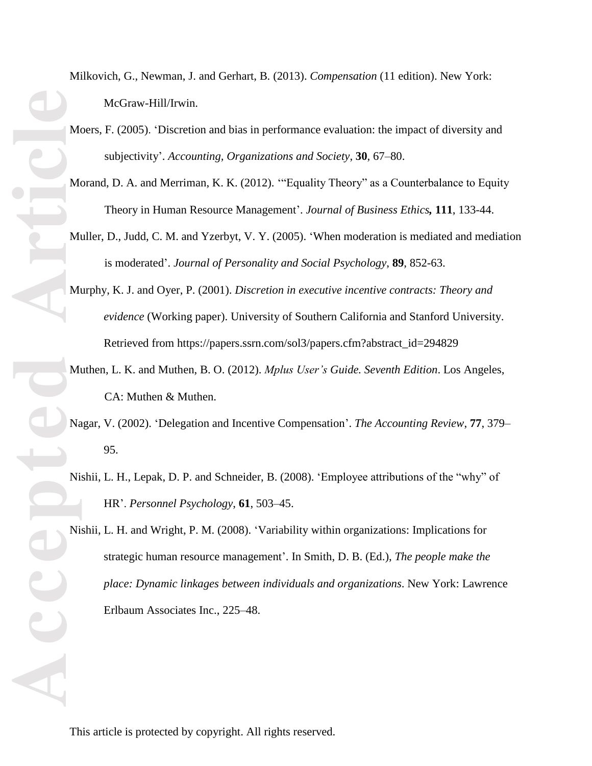Milkovich, G., Newman, J. and Gerhart, B. (2013). *Compensation* (11 edition). New York: McGraw-Hill/Irwin.

Moers, F. (2005). 'Discretion and bias in performance evaluation: the impact of diversity and subjectivity'. *Accounting, Organizations and Society*, **30**, 67–80.

Morand, D. A. and Merriman, K. K. (2012). '"Equality Theory" as a Counterbalance to Equity Theory in Human Resource Management'. *Journal of Business Ethics,* **111**, 133-44.

- Muller, D., Judd, C. M. and Yzerbyt, V. Y. (2005). 'When moderation is mediated and mediation is moderated'. *Journal of Personality and Social Psychology*, **89**, 852-63.
- Murphy, K. J. and Oyer, P. (2001). *Discretion in executive incentive contracts: Theory and evidence* (Working paper). University of Southern California and Stanford University. Retrieved from https://papers.ssrn.com/sol3/papers.cfm?abstract\_id=294829
- Muthen, L. K. and Muthen, B. O. (2012). *Mplus User's Guide. Seventh Edition*. Los Angeles, CA: Muthen & Muthen.
- Nagar, V. (2002). 'Delegation and Incentive Compensation'. *The Accounting Review*, **77**, 379– 95.
- Nishii, L. H., Lepak, D. P. and Schneider, B. (2008). 'Employee attributions of the "why" of HR'. *Personnel Psychology*, **61**, 503–45.

Nishii, L. H. and Wright, P. M. (2008). 'Variability within organizations: Implications for strategic human resource management'. In Smith, D. B. (Ed.), *The people make the place: Dynamic linkages between individuals and organizations*. New York: Lawrence Erlbaum Associates Inc., 225–48.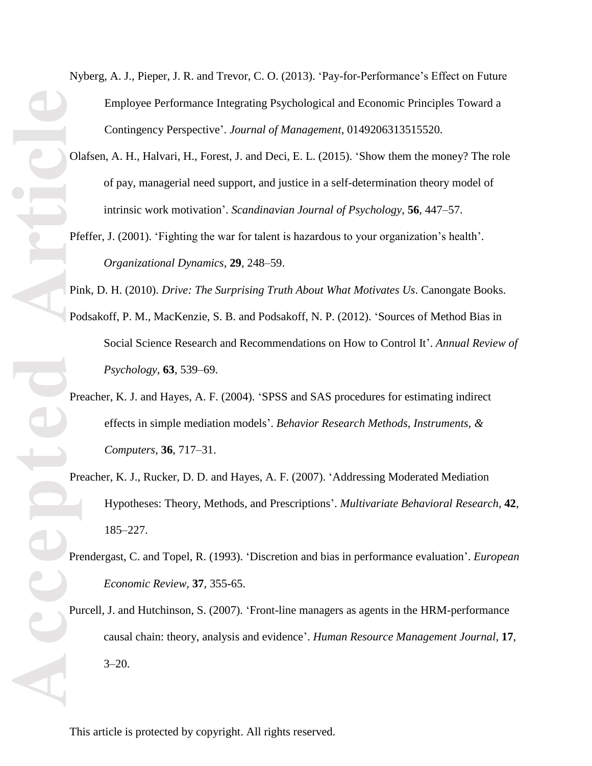**ACCEPTED** PRECISE PRECISE PRECISE PRECISE PRECISE PRECISE PRECISE PRECISE PRECISE PRECISE PRECISE PRECISE PRECISE PRECISE PRECISE PRECISE PRECISE PRECISE PRECISE PRECISE PRECISE PRECISE PRECISE PRECISE PRECISE PRECISE PRE

Nyberg, A. J., Pieper, J. R. and Trevor, C. O. (2013). 'Pay-for-Performance's Effect on Future Employee Performance Integrating Psychological and Economic Principles Toward a Contingency Perspective'. *Journal of Management*, 0149206313515520.

- Olafsen, A. H., Halvari, H., Forest, J. and Deci, E. L. (2015). 'Show them the money? The role of pay, managerial need support, and justice in a self-determination theory model of intrinsic work motivation'. *Scandinavian Journal of Psychology*, **56**, 447–57.
- Pfeffer, J. (2001). 'Fighting the war for talent is hazardous to your organization's health'. *Organizational Dynamics*, **29**, 248–59.

Pink, D. H. (2010). *Drive: The Surprising Truth About What Motivates Us*. Canongate Books.

- Podsakoff, P. M., MacKenzie, S. B. and Podsakoff, N. P. (2012). 'Sources of Method Bias in Social Science Research and Recommendations on How to Control It'. *Annual Review of Psychology*, **63**, 539–69.
- Preacher, K. J. and Hayes, A. F. (2004). 'SPSS and SAS procedures for estimating indirect effects in simple mediation models'. *Behavior Research Methods, Instruments, & Computers*, **36**, 717–31.
- Preacher, K. J., Rucker, D. D. and Hayes, A. F. (2007). 'Addressing Moderated Mediation Hypotheses: Theory, Methods, and Prescriptions'. *Multivariate Behavioral Research*, **42**, 185–227.
- Prendergast, C. and Topel, R. (1993). 'Discretion and bias in performance evaluation'. *European Economic Review,* **37**, 355-65.
- Purcell, J. and Hutchinson, S. (2007). 'Front-line managers as agents in the HRM-performance causal chain: theory, analysis and evidence'. *Human Resource Management Journal*, **17**,  $3 - 20.$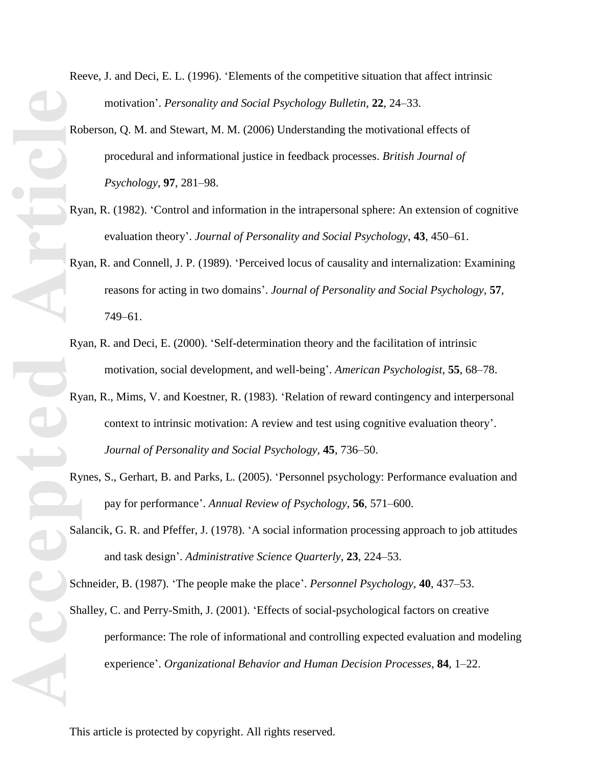Reeve, J. and Deci, E. L. (1996). 'Elements of the competitive situation that affect intrinsic motivation'. *Personality and Social Psychology Bulletin*, **22**, 24–33.

- Roberson, Q. M. and Stewart, M. M. (2006) Understanding the motivational effects of procedural and informational justice in feedback processes. *British Journal of Psychology*, **97**, 281–98.
- Ryan, R. (1982). 'Control and information in the intrapersonal sphere: An extension of cognitive evaluation theory'. *Journal of Personality and Social Psychology*, **43**, 450–61.
- Ryan, R. and Connell, J. P. (1989). 'Perceived locus of causality and internalization: Examining reasons for acting in two domains'. *Journal of Personality and Social Psychology*, **57**, 749–61.
- Ryan, R. and Deci, E. (2000). 'Self-determination theory and the facilitation of intrinsic motivation, social development, and well-being'. *American Psychologist*, **55**, 68–78.
- Ryan, R., Mims, V. and Koestner, R. (1983). 'Relation of reward contingency and interpersonal context to intrinsic motivation: A review and test using cognitive evaluation theory'. *Journal of Personality and Social Psychology*, **45**, 736–50.
- Rynes, S., Gerhart, B. and Parks, L. (2005). 'Personnel psychology: Performance evaluation and pay for performance'. *Annual Review of Psychology*, **56**, 571–600.
- Salancik, G. R. and Pfeffer, J. (1978). 'A social information processing approach to job attitudes and task design'. *Administrative Science Quarterly*, **23**, 224–53.

Schneider, B. (1987). 'The people make the place'. *Personnel Psychology*, **40**, 437–53.

Shalley, C. and Perry-Smith, J. (2001). 'Effects of social-psychological factors on creative performance: The role of informational and controlling expected evaluation and modeling experience'. *Organizational Behavior and Human Decision Processes*, **84**, 1–22.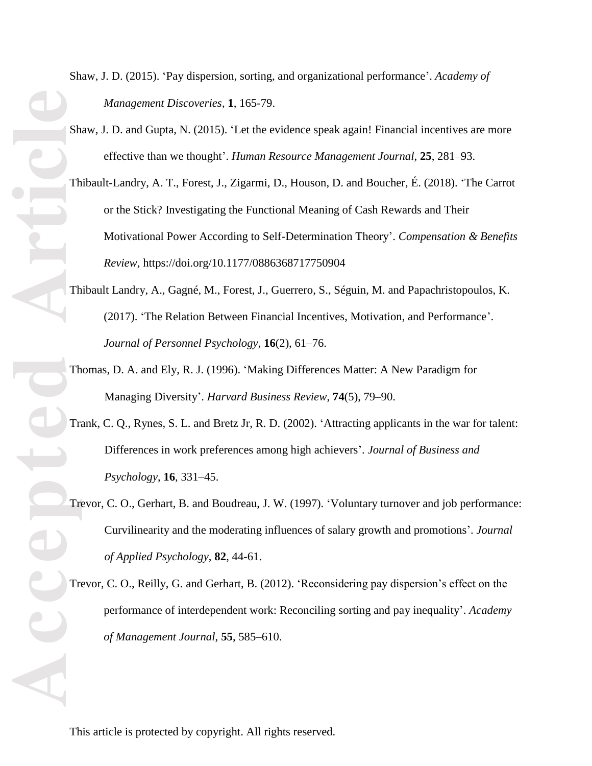Shaw, J. D. (2015). 'Pay dispersion, sorting, and organizational performance'. *Academy of Management Discoveries*, **1**, 165-79.

- Shaw, J. D. and Gupta, N. (2015). 'Let the evidence speak again! Financial incentives are more effective than we thought'. *Human Resource Management Journal*, **25**, 281–93.
- Thibault-Landry, A. T., Forest, J., Zigarmi, D., Houson, D. and Boucher, É. (2018). 'The Carrot or the Stick? Investigating the Functional Meaning of Cash Rewards and Their Motivational Power According to Self-Determination Theory'. *Compensation & Benefits Review*, https://doi.org/10.1177/0886368717750904
- Thibault Landry, A., Gagné, M., Forest, J., Guerrero, S., Séguin, M. and Papachristopoulos, K. (2017). 'The Relation Between Financial Incentives, Motivation, and Performance'. *Journal of Personnel Psychology*, **16**(2), 61–76.
- Thomas, D. A. and Ely, R. J. (1996). 'Making Differences Matter: A New Paradigm for Managing Diversity'. *Harvard Business Review*, **74**(5), 79–90.
- Trank, C. Q., Rynes, S. L. and Bretz Jr, R. D. (2002). 'Attracting applicants in the war for talent: Differences in work preferences among high achievers'. *Journal of Business and Psychology*, **16**, 331–45.
- Trevor, C. O., Gerhart, B. and Boudreau, J. W. (1997). 'Voluntary turnover and job performance: Curvilinearity and the moderating influences of salary growth and promotions'. *Journal of Applied Psychology*, **82**, 44-61.
- Trevor, C. O., Reilly, G. and Gerhart, B. (2012). 'Reconsidering pay dispersion's effect on the performance of interdependent work: Reconciling sorting and pay inequality'. *Academy of Management Journal*, **55**, 585–610.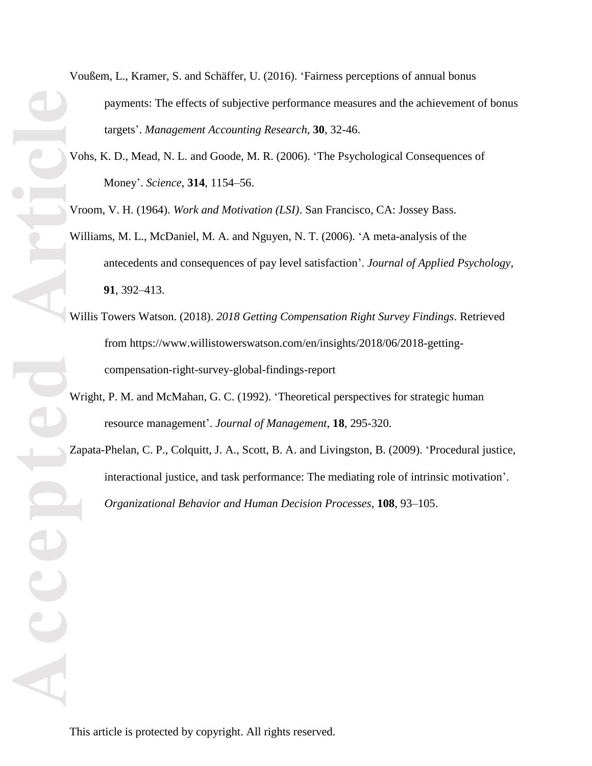- **Accepted Article**
- Voußem, L., Kramer, S. and Schäffer, U. (2016). 'Fairness perceptions of annual bonus payments: The effects of subjective performance measures and the achievement of bonus targets'. *Management Accounting Research*, **30**, 32-46.
	- Vohs, K. D., Mead, N. L. and Goode, M. R. (2006). 'The Psychological Consequences of Money'. *Science*, **314**, 1154–56.
	- Vroom, V. H. (1964). *Work and Motivation (LSI)*. San Francisco, CA: Jossey Bass.
	- Williams, M. L., McDaniel, M. A. and Nguyen, N. T. (2006). 'A meta-analysis of the antecedents and consequences of pay level satisfaction'. *Journal of Applied Psychology*, **91**, 392–413.
	- Willis Towers Watson. (2018). *2018 Getting Compensation Right Survey Findings*. Retrieved from https://www.willistowerswatson.com/en/insights/2018/06/2018-gettingcompensation-right-survey-global-findings-report
	- Wright, P. M. and McMahan, G. C. (1992). 'Theoretical perspectives for strategic human resource management'. *Journal of Management*, **18**, 295-320.
	- Zapata-Phelan, C. P., Colquitt, J. A., Scott, B. A. and Livingston, B. (2009). 'Procedural justice, interactional justice, and task performance: The mediating role of intrinsic motivation'. *Organizational Behavior and Human Decision Processes*, **108**, 93–105.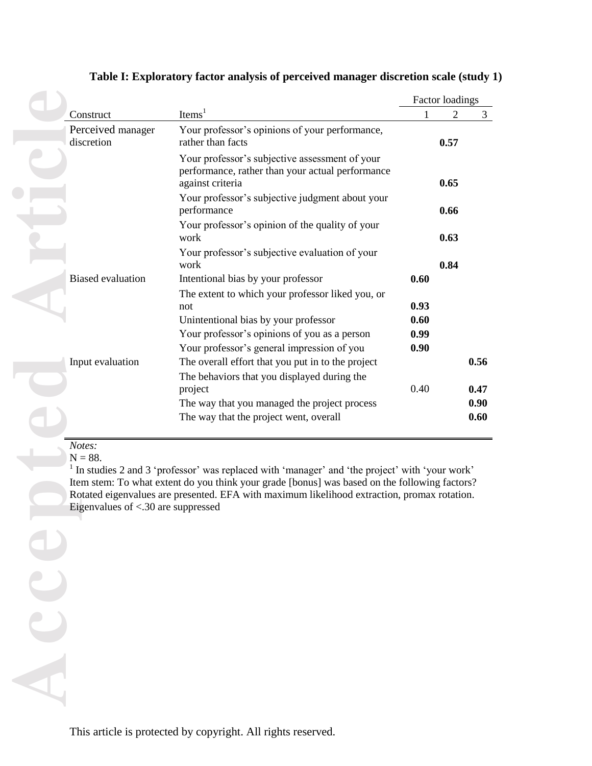|  |                                                             |                                                                                                                                                                                                                                                                                                   |              | <b>Factor loadings</b> |              |
|--|-------------------------------------------------------------|---------------------------------------------------------------------------------------------------------------------------------------------------------------------------------------------------------------------------------------------------------------------------------------------------|--------------|------------------------|--------------|
|  | Construct                                                   | Items <sup>1</sup>                                                                                                                                                                                                                                                                                |              | $\overline{2}$         | 3            |
|  | Perceived manager<br>discretion                             | Your professor's opinions of your performance,<br>rather than facts                                                                                                                                                                                                                               |              | 0.57                   |              |
|  |                                                             | Your professor's subjective assessment of your<br>performance, rather than your actual performance<br>against criteria<br>Your professor's subjective judgment about your                                                                                                                         |              | 0.65                   |              |
|  |                                                             | performance                                                                                                                                                                                                                                                                                       |              | 0.66                   |              |
|  |                                                             | Your professor's opinion of the quality of your<br>work                                                                                                                                                                                                                                           |              | 0.63                   |              |
|  |                                                             | Your professor's subjective evaluation of your<br>work                                                                                                                                                                                                                                            |              | 0.84                   |              |
|  | <b>Biased</b> evaluation                                    | Intentional bias by your professor                                                                                                                                                                                                                                                                | 0.60         |                        |              |
|  |                                                             | The extent to which your professor liked you, or<br>not                                                                                                                                                                                                                                           | 0.93         |                        |              |
|  |                                                             | Unintentional bias by your professor<br>Your professor's opinions of you as a person                                                                                                                                                                                                              | 0.60<br>0.99 |                        |              |
|  |                                                             | Your professor's general impression of you                                                                                                                                                                                                                                                        | 0.90         |                        |              |
|  | Input evaluation                                            | The overall effort that you put in to the project<br>The behaviors that you displayed during the                                                                                                                                                                                                  |              |                        | 0.56         |
|  |                                                             | project                                                                                                                                                                                                                                                                                           | 0.40         |                        | 0.47         |
|  |                                                             | The way that you managed the project process<br>The way that the project went, overall                                                                                                                                                                                                            |              |                        | 0.90<br>0.60 |
|  | Notes:<br>$N = 88.$<br>Eigenvalues of $< 30$ are suppressed | $1$ In studies 2 and 3 'professor' was replaced with 'manager' and 'the project' with 'your work'<br>Item stem: To what extent do you think your grade [bonus] was based on the following factors?<br>Rotated eigenvalues are presented. EFA with maximum likelihood extraction, promax rotation. |              |                        |              |
|  |                                                             |                                                                                                                                                                                                                                                                                                   |              |                        |              |
|  |                                                             |                                                                                                                                                                                                                                                                                                   |              |                        |              |
|  |                                                             |                                                                                                                                                                                                                                                                                                   |              |                        |              |
|  |                                                             |                                                                                                                                                                                                                                                                                                   |              |                        |              |
|  |                                                             |                                                                                                                                                                                                                                                                                                   |              |                        |              |

# **Table I: Exploratory factor analysis of perceived manager discretion scale (study 1)**

# *Notes:*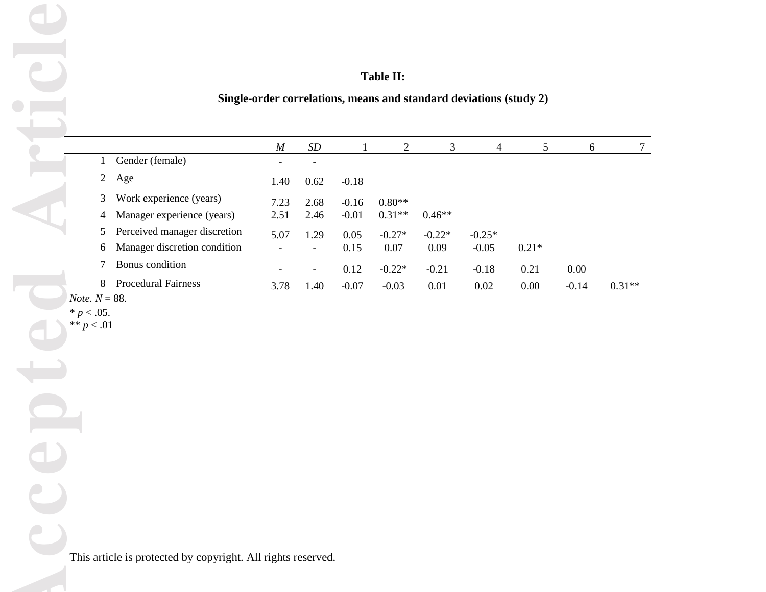| <b>Table II:</b> |  |
|------------------|--|
|------------------|--|

|                           |                                                              |                  |                          |              | Table II:         |                |                                                                    |                 |          |          |
|---------------------------|--------------------------------------------------------------|------------------|--------------------------|--------------|-------------------|----------------|--------------------------------------------------------------------|-----------------|----------|----------|
|                           |                                                              |                  |                          |              |                   |                | Single-order correlations, means and standard deviations (study 2) |                 |          |          |
|                           |                                                              |                  |                          |              |                   |                |                                                                    |                 |          |          |
|                           |                                                              | $\boldsymbol{M}$ | $\cal SD$                | $\mathbf{1}$ | 2                 | $\mathfrak{Z}$ | $\overline{4}$                                                     | $5\phantom{.0}$ | 6        | $\tau$   |
| $\mathbf{1}$              | Gender (female)                                              |                  |                          |              |                   |                |                                                                    |                 |          |          |
| $\overline{c}$            | Age                                                          | 1.40             | 0.62                     | $-0.18$      |                   |                |                                                                    |                 |          |          |
| 3                         | Work experience (years)                                      | 7.23             | 2.68                     | $-0.16$      | $0.80**$          |                |                                                                    |                 |          |          |
| 4                         | Manager experience (years)                                   | 2.51             | 2.46                     | $-0.01$      | $0.31^{\ast\ast}$ | $0.46**$       |                                                                    |                 |          |          |
| 5                         | Perceived manager discretion                                 | 5.07             | 1.29                     | 0.05         | $-0.27*$          | $-0.22*$       | $-0.25*$                                                           |                 |          |          |
| 6                         | Manager discretion condition                                 |                  | $\overline{\phantom{0}}$ | 0.15         | $0.07\,$          | $0.09\,$       | $-0.05$                                                            | $0.21*$         |          |          |
| 7                         | Bonus condition                                              |                  |                          | 0.12         | $-0.22*$          | $-0.21$        | $-0.18$                                                            | 0.21            | $0.00\,$ |          |
| $8\,$<br>Note. $N = 88$ . | <b>Procedural Fairness</b>                                   | 3.78             | 1.40                     | $-0.07$      | $-0.03$           | 0.01           | $0.02\,$                                                           | $0.00\,$        | $-0.14$  | $0.31**$ |
| $\ast\ast$ $p<.01$        | This article is protected by copyright. All rights reserved. |                  |                          |              |                   |                |                                                                    |                 |          |          |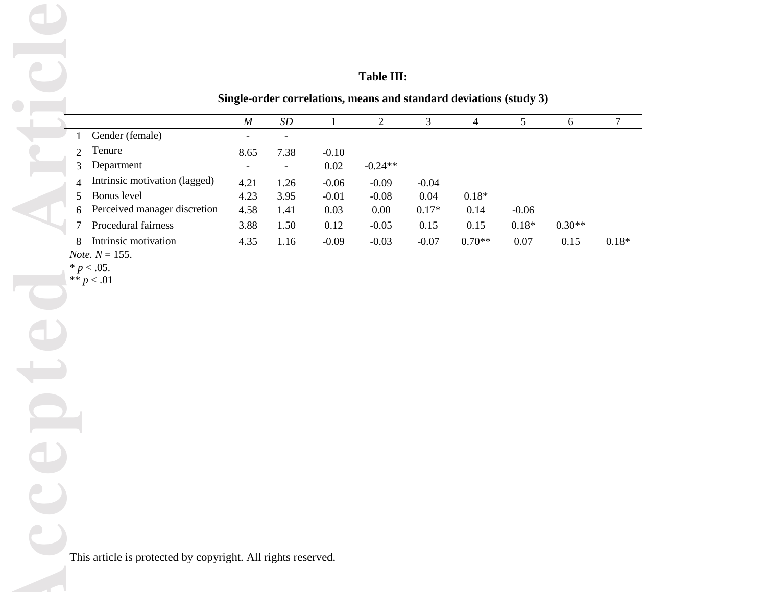# **Table III:**

**Single-order correlations, means and standard deviations (study 3)**

|                |                               | $\boldsymbol{M}$ | SD                       |         | 2         |         | 4        | 5       | 6        | 7       |
|----------------|-------------------------------|------------------|--------------------------|---------|-----------|---------|----------|---------|----------|---------|
|                | Gender (female)               |                  | $\overline{\phantom{0}}$ |         |           |         |          |         |          |         |
|                | Tenure                        | 8.65             | 7.38                     | $-0.10$ |           |         |          |         |          |         |
|                | Department                    |                  | -                        | 0.02    | $-0.24**$ |         |          |         |          |         |
| $\overline{4}$ | Intrinsic motivation (lagged) | 4.21             | 1.26                     | $-0.06$ | $-0.09$   | $-0.04$ |          |         |          |         |
|                | Bonus level                   | 4.23             | 3.95                     | $-0.01$ | $-0.08$   | 0.04    | $0.18*$  |         |          |         |
| 6              | Perceived manager discretion  | 4.58             | 1.41                     | 0.03    | 0.00      | $0.17*$ | 0.14     | $-0.06$ |          |         |
|                | Procedural fairness           | 3.88             | 1.50                     | 0.12    | $-0.05$   | 0.15    | 0.15     | $0.18*$ | $0.30**$ |         |
| 8              | Intrinsic motivation          | 4.35             | 1.16                     | $-0.09$ | $-0.03$   | $-0.07$ | $0.70**$ | 0.07    | 0.15     | $0.18*$ |
|                | $M_{\odot}$ $\sim$ $M$ $155$  |                  |                          |         |           |         |          |         |          |         |

*Note.*  $N = 155$ .

 $* p < .05.$ \*\*  $p < .01$ 

L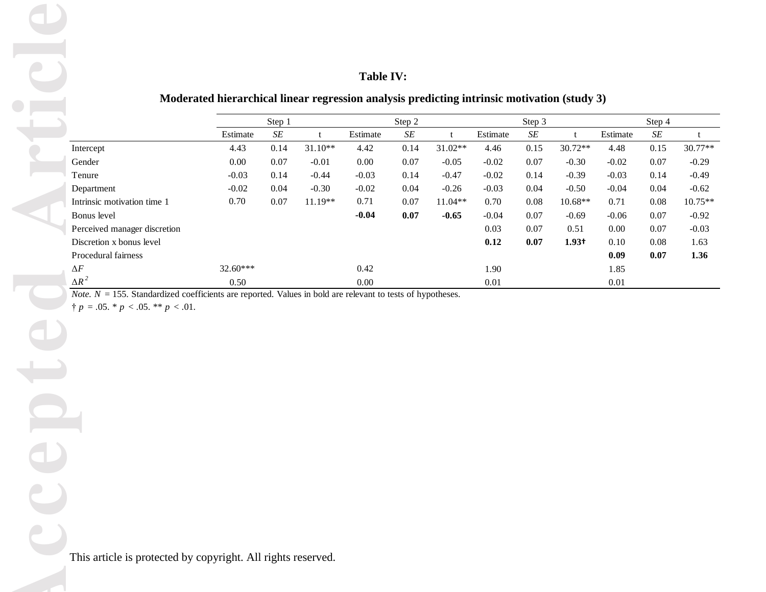# **Table IV:**

# **Moderated hierarchical linear regression analysis predicting intrinsic motivation (study 3)**

|          | Step 1 |           |          | Step 2 |           |          | Step 3 |                   |          | Step 4 |           |
|----------|--------|-----------|----------|--------|-----------|----------|--------|-------------------|----------|--------|-----------|
| Estimate | SE     |           | Estimate | SE     |           | Estimate | SE     |                   | Estimate | SE     |           |
| 4.43     | 0.14   | $31.10**$ | 4.42     | 0.14   | $31.02**$ | 4.46     | 0.15   | $30.72**$         | 4.48     | 0.15   | $30.77**$ |
| 0.00     | 0.07   | $-0.01$   | 0.00     | 0.07   | $-0.05$   | $-0.02$  | 0.07   | $-0.30$           | $-0.02$  | 0.07   | $-0.29$   |
| $-0.03$  | 0.14   | $-0.44$   | $-0.03$  | 0.14   | $-0.47$   | $-0.02$  | 0.14   | $-0.39$           | $-0.03$  | 0.14   | $-0.49$   |
| $-0.02$  | 0.04   | $-0.30$   | $-0.02$  | 0.04   | $-0.26$   | $-0.03$  | 0.04   | $-0.50$           | $-0.04$  | 0.04   | $-0.62$   |
| 0.70     | 0.07   | $11.19**$ | 0.71     | 0.07   | $11.04**$ | 0.70     | 0.08   | $10.68**$         | 0.71     | 0.08   | 10.75**   |
|          |        |           | $-0.04$  | 0.07   | $-0.65$   | $-0.04$  | 0.07   | $-0.69$           | $-0.06$  | 0.07   | $-0.92$   |
|          |        |           |          |        |           | 0.03     | 0.07   | 0.51              | 0.00     | 0.07   | $-0.03$   |
|          |        |           |          |        |           | 0.12     | 0.07   | 1.93 <sup>†</sup> | 0.10     | 0.08   | 1.63      |
|          |        |           |          |        |           |          |        |                   | 0.09     | 0.07   | 1.36      |
| 32.60*** |        |           | 0.42     |        |           | 1.90     |        |                   | 1.85     |        |           |
| 0.50     |        |           | 0.00     |        |           | 0.01     |        |                   | 0.01     |        |           |
|          |        |           |          |        |           |          |        |                   |          |        |           |

*Note. N* = 155. Standardized coefficients are reported. Values in bold are relevant to tests of hypotheses.

 $\uparrow p = .05. * p < .05. * p < .01.$ 

This article is protected by copyright. All rights reserved.

D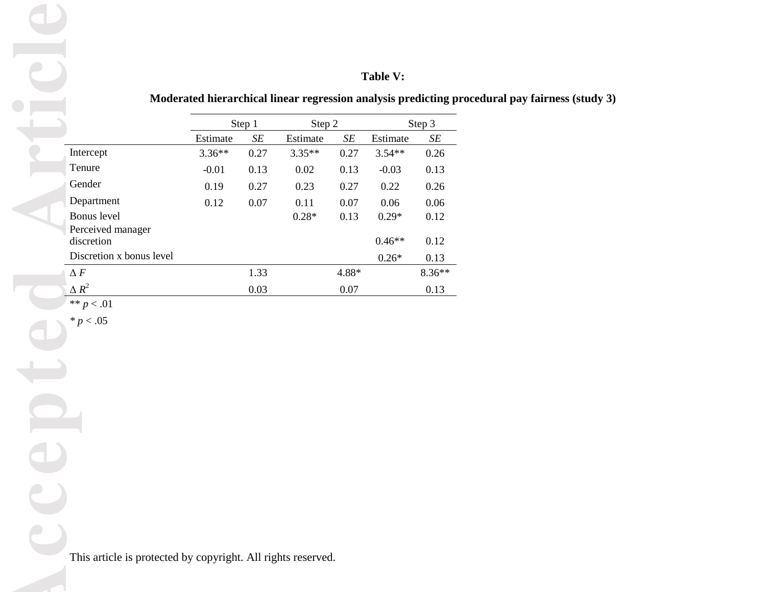# **Table V:**

# **Moderated hierarchical linear regression analysis predicting procedural pay fairness (study 3)**

|                          |                                                              |                                                                |           |          |           | Table V: |           |  |
|--------------------------|--------------------------------------------------------------|----------------------------------------------------------------|-----------|----------|-----------|----------|-----------|--|
|                          |                                                              | Moderated hierarchical linear regression analysis predicting p |           |          |           |          |           |  |
|                          |                                                              |                                                                | Step 1    | Step 2   |           |          | Step 3    |  |
|                          |                                                              | Estimate                                                       | $\cal SE$ | Estimate | $\cal SE$ | Estimate | $\cal SE$ |  |
|                          | Intercept                                                    | $3.36**$                                                       | 0.27      | $3.35**$ | 0.27      | $3.54**$ | 0.26      |  |
|                          | Tenure                                                       | $-0.01$                                                        | 0.13      | 0.02     | 0.13      | $-0.03$  | 0.13      |  |
|                          | Gender                                                       | 0.19                                                           | 0.27      | 0.23     | 0.27      | 0.22     | 0.26      |  |
|                          | Department                                                   | 0.12                                                           | $0.07\,$  | 0.11     | 0.07      | 0.06     | 0.06      |  |
|                          | Bonus level                                                  |                                                                |           | $0.28*$  | 0.13      | $0.29*$  | 0.12      |  |
|                          | Perceived manager<br>discretion                              |                                                                |           |          |           | $0.46**$ | 0.12      |  |
|                          | Discretion x bonus level                                     |                                                                |           |          |           |          | 0.13      |  |
|                          | $\Delta F$                                                   |                                                                | 1.33      |          | 4.88*     | $0.26*$  | $8.36**$  |  |
|                          | $\Delta R^2$                                                 |                                                                | 0.03      |          | 0.07      |          | 0.13      |  |
|                          | ** $p < .01$                                                 |                                                                |           |          |           |          |           |  |
| $\overline{\phantom{a}}$ | $* p < .05$                                                  |                                                                |           |          |           |          |           |  |
|                          | This article is protected by copyright. All rights reserved. |                                                                |           |          |           |          |           |  |
|                          |                                                              |                                                                |           |          |           |          |           |  |

I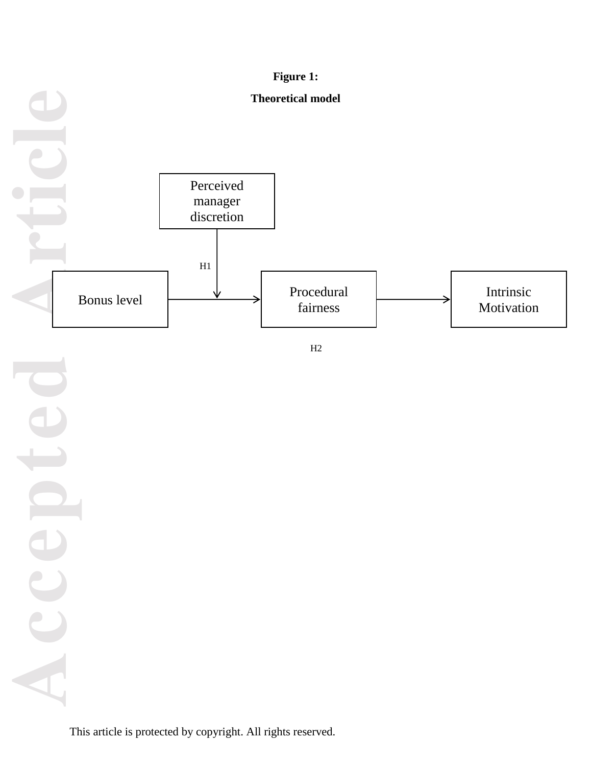

 $H2$ 

**Accepted Article** ACC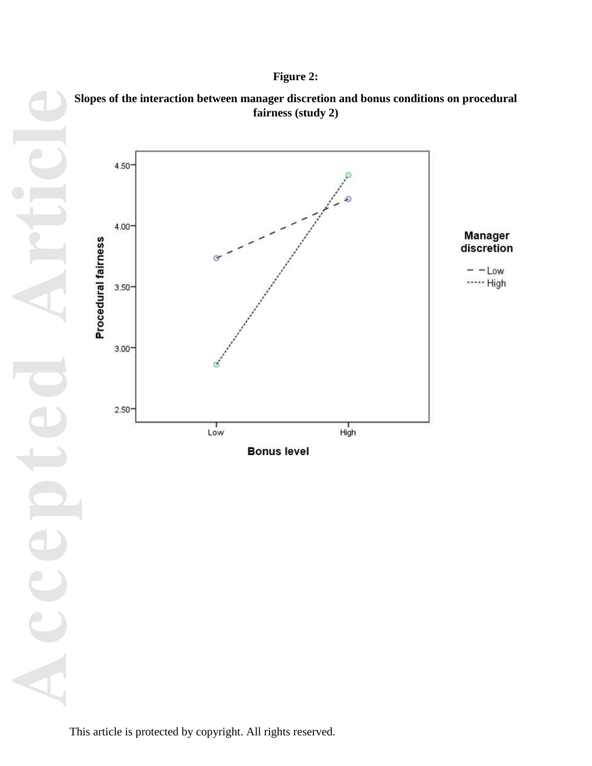# **Figure 2:**





Manager

discretion

 $- -$ Low \*\*\*\*\* High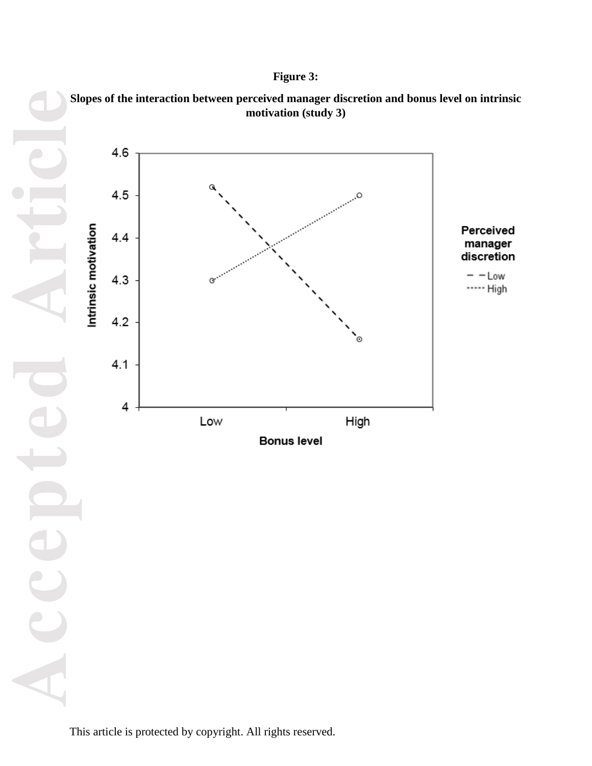# **Figure 3:**

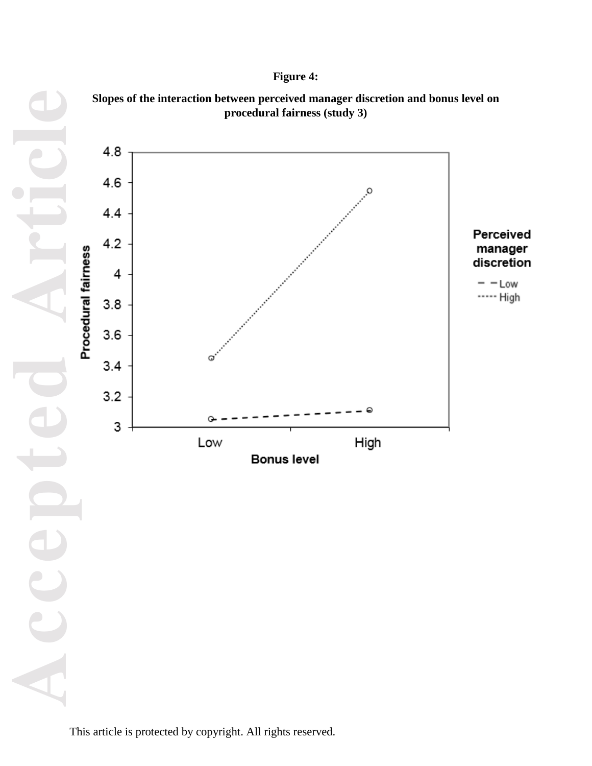# **Figure 4:**



**Slopes of the interaction between perceived manager discretion and bonus level on**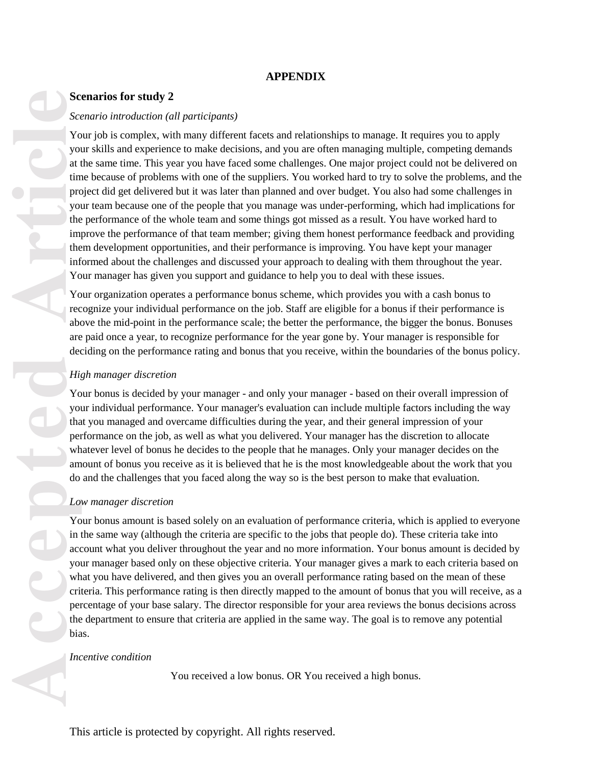# **APPENDIX**

# **Scenarios for study 2**

## *Scenario introduction (all participants)*

**Accepted Article**<br> **Accepted Article**<br> **Accepted Article**<br> **Article**<br> **Article**<br> **Article**<br> **Article**<br> **Article**<br> **Article**<br> **Article**<br> **Article**<br> **Article**<br> **Article**<br> **Article**<br> **Article**<br> **Article**<br> **Article**<br> **A** Your job is complex, with many different facets and relationships to manage. It requires you to apply your skills and experience to make decisions, and you are often managing multiple, competing demands at the same time. This year you have faced some challenges. One major project could not be delivered on time because of problems with one of the suppliers. You worked hard to try to solve the problems, and the project did get delivered but it was later than planned and over budget. You also had some challenges in your team because one of the people that you manage was under-performing, which had implications for the performance of the whole team and some things got missed as a result. You have worked hard to improve the performance of that team member; giving them honest performance feedback and providing them development opportunities, and their performance is improving. You have kept your manager informed about the challenges and discussed your approach to dealing with them throughout the year. Your manager has given you support and guidance to help you to deal with these issues.

Your organization operates a performance bonus scheme, which provides you with a cash bonus to recognize your individual performance on the job. Staff are eligible for a bonus if their performance is above the mid-point in the performance scale; the better the performance, the bigger the bonus. Bonuses are paid once a year, to recognize performance for the year gone by. Your manager is responsible for deciding on the performance rating and bonus that you receive, within the boundaries of the bonus policy.

## *High manager discretion*

Your bonus is decided by your manager - and only your manager - based on their overall impression of your individual performance. Your manager's evaluation can include multiple factors including the way that you managed and overcame difficulties during the year, and their general impression of your performance on the job, as well as what you delivered. Your manager has the discretion to allocate whatever level of bonus he decides to the people that he manages. Only your manager decides on the amount of bonus you receive as it is believed that he is the most knowledgeable about the work that you do and the challenges that you faced along the way so is the best person to make that evaluation.

#### *Low manager discretion*

Your bonus amount is based solely on an evaluation of performance criteria, which is applied to everyone in the same way (although the criteria are specific to the jobs that people do). These criteria take into account what you deliver throughout the year and no more information. Your bonus amount is decided by your manager based only on these objective criteria. Your manager gives a mark to each criteria based on what you have delivered, and then gives you an overall performance rating based on the mean of these criteria. This performance rating is then directly mapped to the amount of bonus that you will receive, as a percentage of your base salary. The director responsible for your area reviews the bonus decisions across the department to ensure that criteria are applied in the same way. The goal is to remove any potential bias.

#### *Incentive condition*

You received a low bonus. OR You received a high bonus.